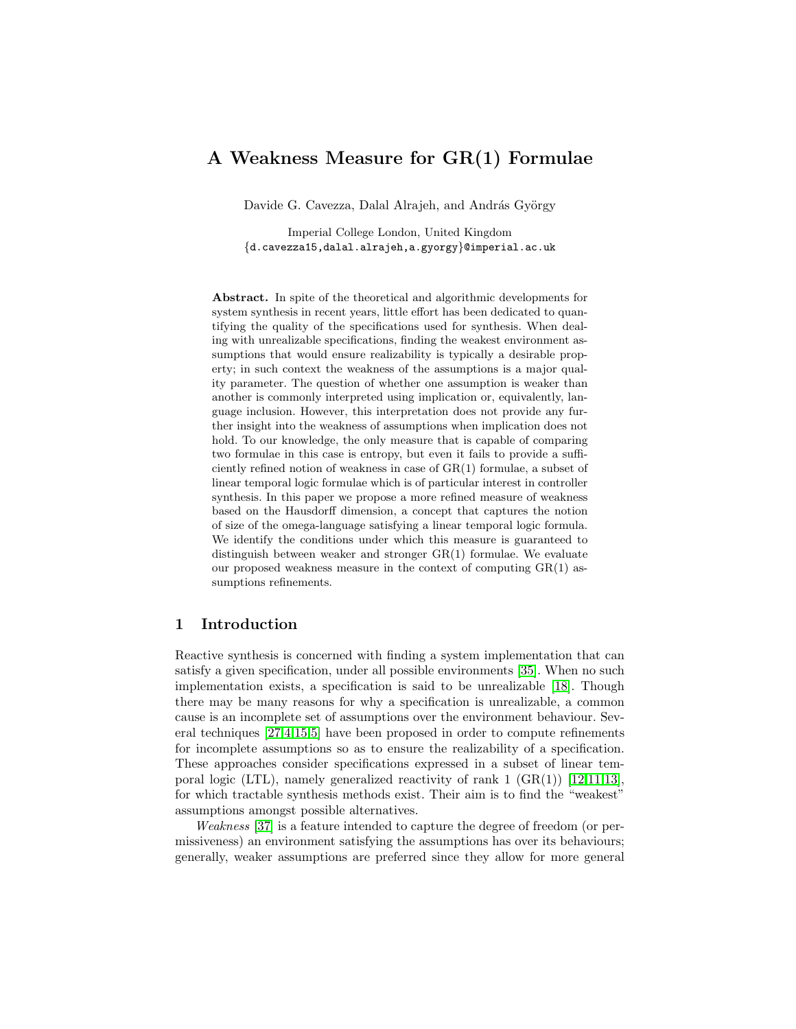# A Weakness Measure for GR(1) Formulae

Davide G. Cavezza, Dalal Alrajeh, and András György

Imperial College London, United Kingdom {d.cavezza15,dalal.alrajeh,a.gyorgy}@imperial.ac.uk

Abstract. In spite of the theoretical and algorithmic developments for system synthesis in recent years, little effort has been dedicated to quantifying the quality of the specifications used for synthesis. When dealing with unrealizable specifications, finding the weakest environment assumptions that would ensure realizability is typically a desirable property; in such context the weakness of the assumptions is a major quality parameter. The question of whether one assumption is weaker than another is commonly interpreted using implication or, equivalently, language inclusion. However, this interpretation does not provide any further insight into the weakness of assumptions when implication does not hold. To our knowledge, the only measure that is capable of comparing two formulae in this case is entropy, but even it fails to provide a sufficiently refined notion of weakness in case of GR(1) formulae, a subset of linear temporal logic formulae which is of particular interest in controller synthesis. In this paper we propose a more refined measure of weakness based on the Hausdorff dimension, a concept that captures the notion of size of the omega-language satisfying a linear temporal logic formula. We identify the conditions under which this measure is guaranteed to distinguish between weaker and stronger GR(1) formulae. We evaluate our proposed weakness measure in the context of computing GR(1) assumptions refinements.

### 1 Introduction

Reactive synthesis is concerned with finding a system implementation that can satisfy a given specification, under all possible environments [\[35\]](#page-16-0). When no such implementation exists, a specification is said to be unrealizable [\[18\]](#page-15-0). Though there may be many reasons for why a specification is unrealizable, a common cause is an incomplete set of assumptions over the environment behaviour. Several techniques [\[27,](#page-16-1)[4,](#page-15-1)[15](#page-15-2)[,5\]](#page-15-3) have been proposed in order to compute refinements for incomplete assumptions so as to ensure the realizability of a specification. These approaches consider specifications expressed in a subset of linear temporal logic (LTL), namely generalized reactivity of rank  $1$  (GR(1)) [\[12,](#page-15-4)[11,](#page-15-5)[13\]](#page-15-6), for which tractable synthesis methods exist. Their aim is to find the "weakest" assumptions amongst possible alternatives.

Weakness [\[37\]](#page-16-2) is a feature intended to capture the degree of freedom (or permissiveness) an environment satisfying the assumptions has over its behaviours; generally, weaker assumptions are preferred since they allow for more general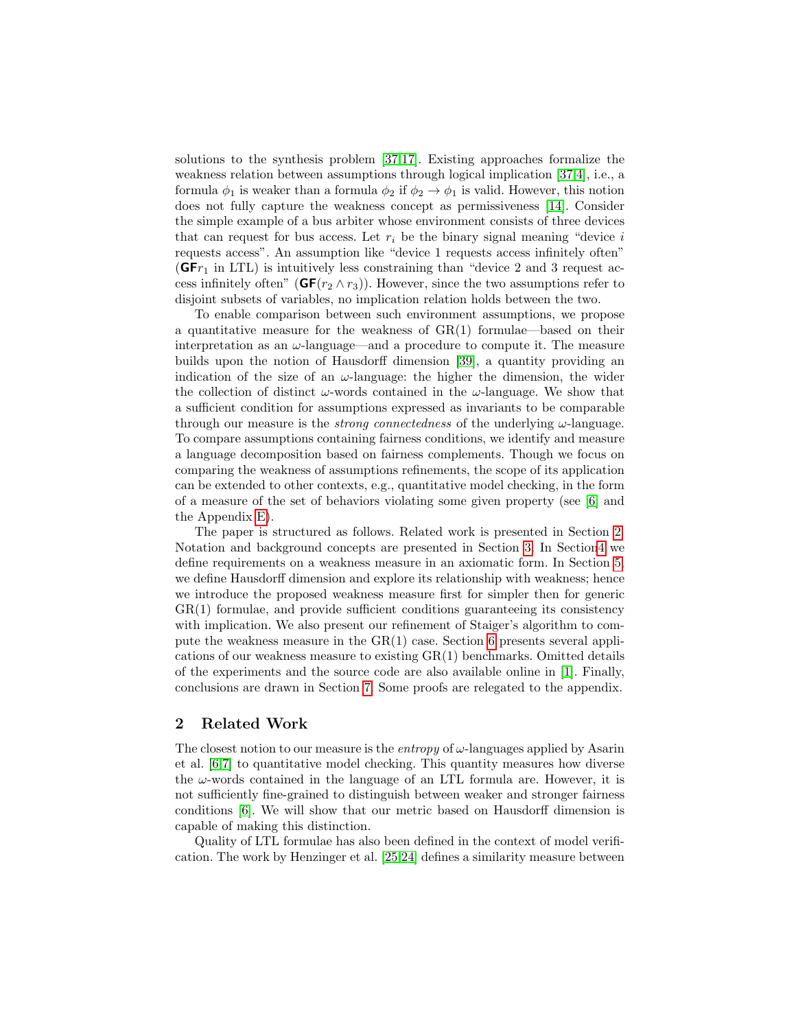solutions to the synthesis problem [\[37](#page-16-2)[,17\]](#page-15-7). Existing approaches formalize the weakness relation between assumptions through logical implication [\[37,](#page-16-2)[4\]](#page-15-1), i.e., a formula  $\phi_1$  is weaker than a formula  $\phi_2$  if  $\phi_2 \rightarrow \phi_1$  is valid. However, this notion does not fully capture the weakness concept as permissiveness [\[14\]](#page-15-8). Consider the simple example of a bus arbiter whose environment consists of three devices that can request for bus access. Let  $r_i$  be the binary signal meaning "device i requests access". An assumption like "device 1 requests access infinitely often" (GF $r_1$  in LTL) is intuitively less constraining than "device 2 and 3 request access infinitely often" ( $GF(r_2 \wedge r_3)$ ). However, since the two assumptions refer to disjoint subsets of variables, no implication relation holds between the two.

To enable comparison between such environment assumptions, we propose a quantitative measure for the weakness of  $GR(1)$  formulae—based on their interpretation as an  $\omega$ -language—and a procedure to compute it. The measure builds upon the notion of Hausdorff dimension [\[39\]](#page-16-3), a quantity providing an indication of the size of an  $\omega$ -language: the higher the dimension, the wider the collection of distinct  $\omega$ -words contained in the  $\omega$ -language. We show that a sufficient condition for assumptions expressed as invariants to be comparable through our measure is the *strong connectedness* of the underlying  $\omega$ -language. To compare assumptions containing fairness conditions, we identify and measure a language decomposition based on fairness complements. Though we focus on comparing the weakness of assumptions refinements, the scope of its application can be extended to other contexts, e.g., quantitative model checking, in the form of a measure of the set of behaviors violating some given property (see [\[6\]](#page-15-9) and the Appendix [E\)](#page-20-0).

The paper is structured as follows. Related work is presented in Section [2.](#page-1-0) Notation and background concepts are presented in Section [3.](#page-2-0) In Sectio[n4](#page-4-0) we define requirements on a weakness measure in an axiomatic form. In Section [5,](#page-5-0) we define Hausdorff dimension and explore its relationship with weakness; hence we introduce the proposed weakness measure first for simpler then for generic GR(1) formulae, and provide sufficient conditions guaranteeing its consistency with implication. We also present our refinement of Staiger's algorithm to compute the weakness measure in the GR(1) case. Section [6](#page-12-0) presents several applications of our weakness measure to existing GR(1) benchmarks. Omitted details of the experiments and the source code are also available online in [\[1\]](#page-15-10). Finally, conclusions are drawn in Section [7.](#page-14-0) Some proofs are relegated to the appendix.

#### <span id="page-1-0"></span>2 Related Work

The closest notion to our measure is the *entropy* of  $\omega$ -languages applied by Asarin et al. [\[6](#page-15-9)[,7\]](#page-15-11) to quantitative model checking. This quantity measures how diverse the  $\omega$ -words contained in the language of an LTL formula are. However, it is not sufficiently fine-grained to distinguish between weaker and stronger fairness conditions [\[6\]](#page-15-9). We will show that our metric based on Hausdorff dimension is capable of making this distinction.

Quality of LTL formulae has also been defined in the context of model verification. The work by Henzinger et al. [\[25,](#page-16-4)[24\]](#page-16-5) defines a similarity measure between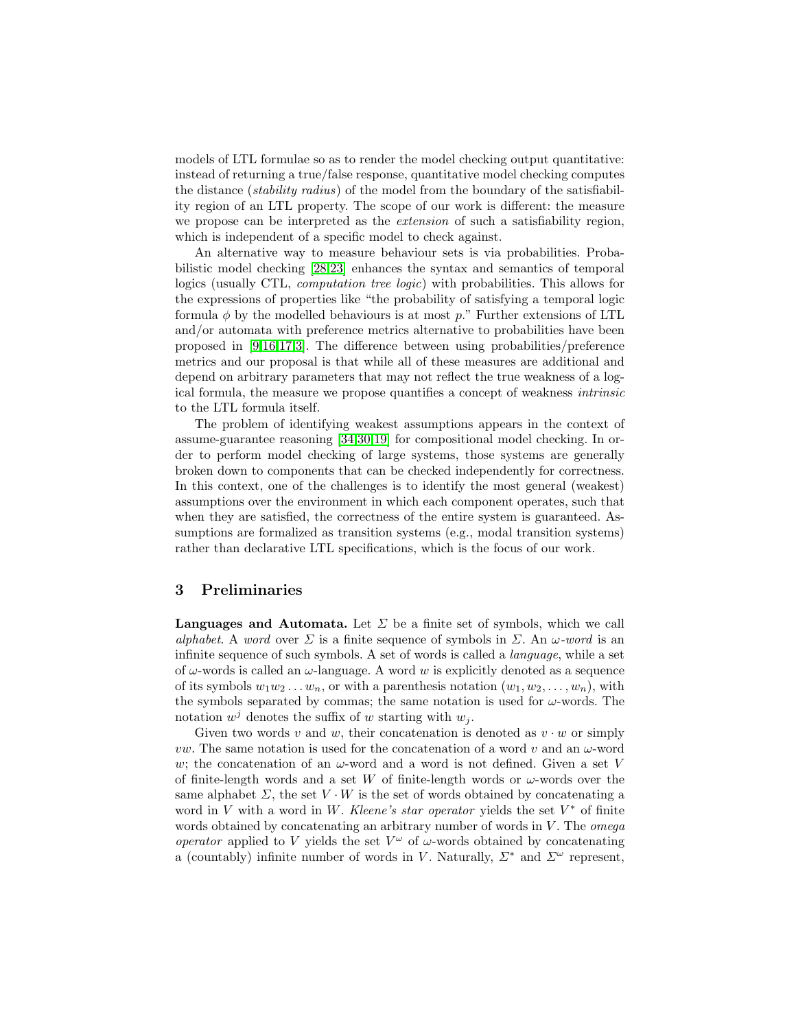models of LTL formulae so as to render the model checking output quantitative: instead of returning a true/false response, quantitative model checking computes the distance (stability radius) of the model from the boundary of the satisfiability region of an LTL property. The scope of our work is different: the measure we propose can be interpreted as the extension of such a satisfiability region, which is independent of a specific model to check against.

An alternative way to measure behaviour sets is via probabilities. Probabilistic model checking [\[28](#page-16-6)[,23\]](#page-16-7) enhances the syntax and semantics of temporal logics (usually CTL, computation tree logic) with probabilities. This allows for the expressions of properties like "the probability of satisfying a temporal logic formula  $\phi$  by the modelled behaviours is at most p." Further extensions of LTL and/or automata with preference metrics alternative to probabilities have been proposed in [\[9](#page-15-12)[,16,](#page-15-13)[17,](#page-15-7)[3\]](#page-15-14). The difference between using probabilities/preference metrics and our proposal is that while all of these measures are additional and depend on arbitrary parameters that may not reflect the true weakness of a logical formula, the measure we propose quantifies a concept of weakness intrinsic to the LTL formula itself.

The problem of identifying weakest assumptions appears in the context of assume-guarantee reasoning [\[34](#page-16-8)[,30,](#page-16-9)[19\]](#page-15-15) for compositional model checking. In order to perform model checking of large systems, those systems are generally broken down to components that can be checked independently for correctness. In this context, one of the challenges is to identify the most general (weakest) assumptions over the environment in which each component operates, such that when they are satisfied, the correctness of the entire system is guaranteed. Assumptions are formalized as transition systems (e.g., modal transition systems) rather than declarative LTL specifications, which is the focus of our work.

#### <span id="page-2-0"></span>3 Preliminaries

**Languages and Automata.** Let  $\Sigma$  be a finite set of symbols, which we call alphabet. A word over  $\Sigma$  is a finite sequence of symbols in  $\Sigma$ . An  $\omega$ -word is an infinite sequence of such symbols. A set of words is called a language, while a set of  $\omega$ -words is called an  $\omega$ -language. A word w is explicitly denoted as a sequence of its symbols  $w_1w_2 \ldots w_n$ , or with a parenthesis notation  $(w_1, w_2, \ldots, w_n)$ , with the symbols separated by commas; the same notation is used for  $\omega$ -words. The notation  $w^j$  denotes the suffix of w starting with  $w_j$ .

Given two words v and w, their concatenation is denoted as  $v \cdot w$  or simply *vw*. The same notation is used for the concatenation of a word v and an  $\omega$ -word w; the concatenation of an  $\omega$ -word and a word is not defined. Given a set V of finite-length words and a set W of finite-length words or  $\omega$ -words over the same alphabet  $\Sigma$ , the set  $V \cdot W$  is the set of words obtained by concatenating a word in V with a word in W. Kleene's star operator yields the set  $V^*$  of finite words obtained by concatenating an arbitrary number of words in  $V$ . The *omega* operator applied to V yields the set  $V^{\omega}$  of  $\omega$ -words obtained by concatenating a (countably) infinite number of words in V. Naturally,  $\Sigma^*$  and  $\Sigma^{\omega}$  represent,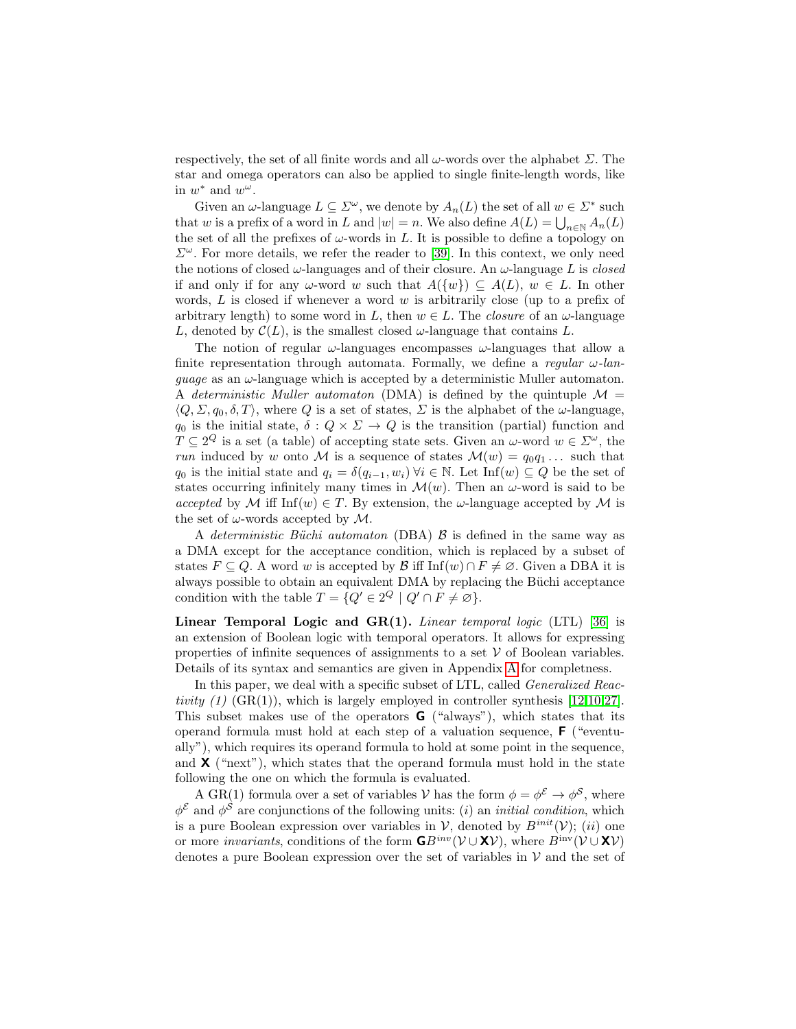respectively, the set of all finite words and all  $\omega$ -words over the alphabet  $\Sigma$ . The star and omega operators can also be applied to single finite-length words, like in  $w^*$  and  $w^{\omega}$ .

Given an  $\omega$ -language  $L \subseteq \Sigma^{\omega}$ , we denote by  $A_n(L)$  the set of all  $w \in \Sigma^*$  such that w is a prefix of a word in L and  $|w| = n$ . We also define  $A(L) = \bigcup_{n \in \mathbb{N}} A_n(L)$ the set of all the prefixes of  $\omega$ -words in L. It is possible to define a topology on  $\Sigma^{\omega}$ . For more details, we refer the reader to [\[39\]](#page-16-3). In this context, we only need the notions of closed  $\omega$ -languages and of their closure. An  $\omega$ -language L is closed if and only if for any  $\omega$ -word w such that  $A(\{w\}) \subseteq A(L)$ ,  $w \in L$ . In other words,  $L$  is closed if whenever a word  $w$  is arbitrarily close (up to a prefix of arbitrary length) to some word in L, then  $w \in L$ . The *closure* of an  $\omega$ -language L, denoted by  $\mathcal{C}(L)$ , is the smallest closed  $\omega$ -language that contains L.

The notion of regular  $\omega$ -languages encompasses  $\omega$ -languages that allow a finite representation through automata. Formally, we define a regular  $\omega$ -lan*guage* as an  $\omega$ -language which is accepted by a deterministic Muller automaton. A deterministic Muller automator (DMA) is defined by the quintuple  $\mathcal{M} =$  $\langle Q, \Sigma, q_0, \delta, T \rangle$ , where Q is a set of states,  $\Sigma$  is the alphabet of the  $\omega$ -language,  $q_0$  is the initial state,  $\delta: Q \times \Sigma \to Q$  is the transition (partial) function and  $T \subseteq 2^Q$  is a set (a table) of accepting state sets. Given an  $\omega$ -word  $w \in \Sigma^\omega$ , the run induced by w onto M is a sequence of states  $\mathcal{M}(w) = q_0 q_1 \dots$  such that  $q_0$  is the initial state and  $q_i = \delta(q_{i-1}, w_i)$   $\forall i \in \mathbb{N}$ . Let Inf $(w) \subseteq Q$  be the set of states occurring infinitely many times in  $\mathcal{M}(w)$ . Then an  $\omega$ -word is said to be accepted by M iff Inf(w)  $\in T$ . By extension, the  $\omega$ -language accepted by M is the set of  $\omega$ -words accepted by  $\mathcal{M}$ .

A deterministic Büchi automaton (DBA)  $\beta$  is defined in the same way as a DMA except for the acceptance condition, which is replaced by a subset of states  $F \subseteq Q$ . A word w is accepted by B iff Inf $(w) \cap F \neq \emptyset$ . Given a DBA it is always possible to obtain an equivalent DMA by replacing the Büchi acceptance condition with the table  $T = \{Q' \in 2^Q \mid Q' \cap F \neq \emptyset\}.$ 

Linear Temporal Logic and  $GR(1)$ . Linear temporal logic (LTL) [\[36\]](#page-16-10) is an extension of Boolean logic with temporal operators. It allows for expressing properties of infinite sequences of assignments to a set  $V$  of Boolean variables. Details of its syntax and semantics are given in Appendix [A](#page-17-0) for completness.

In this paper, we deal with a specific subset of LTL, called *Generalized Reac*tivity  $(1)$  (GR(1)), which is largely employed in controller synthesis [\[12,](#page-15-4)[10,](#page-15-16)[27\]](#page-16-1). This subset makes use of the operators  $\bf{G}$  ("always"), which states that its operand formula must hold at each step of a valuation sequence, F ("eventually"), which requires its operand formula to hold at some point in the sequence, and  $X$  ("next"), which states that the operand formula must hold in the state following the one on which the formula is evaluated.

A GR(1) formula over a set of variables  $V$  has the form  $\phi = \phi^{\mathcal{E}} \to \phi^{\mathcal{S}}$ , where  $\phi^{\mathcal{E}}$  and  $\phi^{\mathcal{S}}$  are conjunctions of the following units: (i) an *initial condition*, which is a pure Boolean expression over variables in V, denoted by  $B^{init}(\mathcal{V}); (ii)$  one or more *invariants*, conditions of the form  $\mathbf{G}B^{inv}(\mathcal{V}\cup\mathbf{X}\mathcal{V})$ , where  $B^{inv}(\mathcal{V}\cup\mathbf{X}\mathcal{V})$ denotes a pure Boolean expression over the set of variables in  $V$  and the set of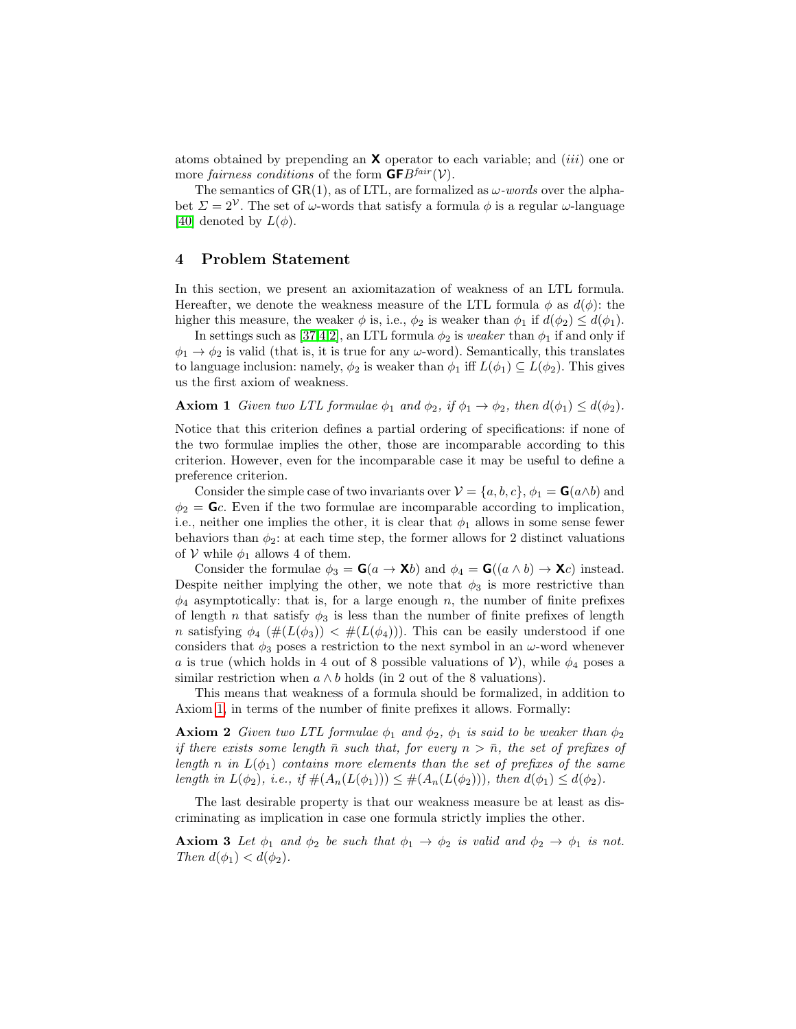atoms obtained by prepending an  $\boldsymbol{\mathsf{X}}$  operator to each variable; and *(iii)* one or more fairness conditions of the form  $GFB<sup>fair</sup>( $V$ ).$ 

The semantics of GR(1), as of LTL, are formalized as  $\omega$ -words over the alphabet  $\Sigma = 2^{\mathcal{V}}$ . The set of  $\omega$ -words that satisfy a formula  $\phi$  is a regular  $\omega$ -language [\[40\]](#page-16-11) denoted by  $L(\phi)$ .

#### <span id="page-4-0"></span>4 Problem Statement

In this section, we present an axiomitazation of weakness of an LTL formula. Hereafter, we denote the weakness measure of the LTL formula  $\phi$  as  $d(\phi)$ : the higher this measure, the weaker  $\phi$  is, i.e.,  $\phi_2$  is weaker than  $\phi_1$  if  $d(\phi_2) \leq d(\phi_1)$ .

In settings such as [\[37,](#page-16-2)[4,](#page-15-1)[2\]](#page-15-17), an LTL formula  $\phi_2$  is *weaker* than  $\phi_1$  if and only if  $\phi_1 \rightarrow \phi_2$  is valid (that is, it is true for any  $\omega$ -word). Semantically, this translates to language inclusion: namely,  $\phi_2$  is weaker than  $\phi_1$  iff  $L(\phi_1) \subseteq L(\phi_2)$ . This gives us the first axiom of weakness.

<span id="page-4-1"></span>**Axiom 1** Given two LTL formulae  $\phi_1$  and  $\phi_2$ , if  $\phi_1 \rightarrow \phi_2$ , then  $d(\phi_1) \leq d(\phi_2)$ .

Notice that this criterion defines a partial ordering of specifications: if none of the two formulae implies the other, those are incomparable according to this criterion. However, even for the incomparable case it may be useful to define a preference criterion.

Consider the simple case of two invariants over  $\mathcal{V} = \{a, b, c\}, \phi_1 = \mathbf{G}(a \wedge b)$  and  $\phi_2 = \mathsf{G}c$ . Even if the two formulae are incomparable according to implication, i.e., neither one implies the other, it is clear that  $\phi_1$  allows in some sense fewer behaviors than  $\phi_2$ : at each time step, the former allows for 2 distinct valuations of  $V$  while  $\phi_1$  allows 4 of them.

Consider the formulae  $\phi_3 = \mathbf{G}(a \to \mathbf{X}b)$  and  $\phi_4 = \mathbf{G}((a \wedge b) \to \mathbf{X}c)$  instead. Despite neither implying the other, we note that  $\phi_3$  is more restrictive than  $\phi_4$  asymptotically: that is, for a large enough n, the number of finite prefixes of length *n* that satisfy  $\phi_3$  is less than the number of finite prefixes of length *n* satisfying  $\phi_4$  ( $\#(L(\phi_3)) < \#(L(\phi_4))$ ). This can be easily understood if one considers that  $\phi_3$  poses a restriction to the next symbol in an  $\omega$ -word whenever a is true (which holds in 4 out of 8 possible valuations of  $V$ ), while  $\phi_4$  poses a similar restriction when  $a \wedge b$  holds (in 2 out of the 8 valuations).

<span id="page-4-2"></span>This means that weakness of a formula should be formalized, in addition to Axiom [1,](#page-4-1) in terms of the number of finite prefixes it allows. Formally:

**Axiom 2** Given two LTL formulae  $\phi_1$  and  $\phi_2$ ,  $\phi_1$  is said to be weaker than  $\phi_2$ if there exists some length  $\bar{n}$  such that, for every  $n > \bar{n}$ , the set of prefixes of length n in  $L(\phi_1)$  contains more elements than the set of prefixes of the same length in  $L(\phi_2)$ , i.e., if  $\#(A_n(L(\phi_1))) \leq \#(A_n(L(\phi_2)))$ , then  $d(\phi_1) \leq d(\phi_2)$ .

<span id="page-4-3"></span>The last desirable property is that our weakness measure be at least as discriminating as implication in case one formula strictly implies the other.

**Axiom 3** Let  $\phi_1$  and  $\phi_2$  be such that  $\phi_1 \rightarrow \phi_2$  is valid and  $\phi_2 \rightarrow \phi_1$  is not. Then  $d(\phi_1) < d(\phi_2)$ .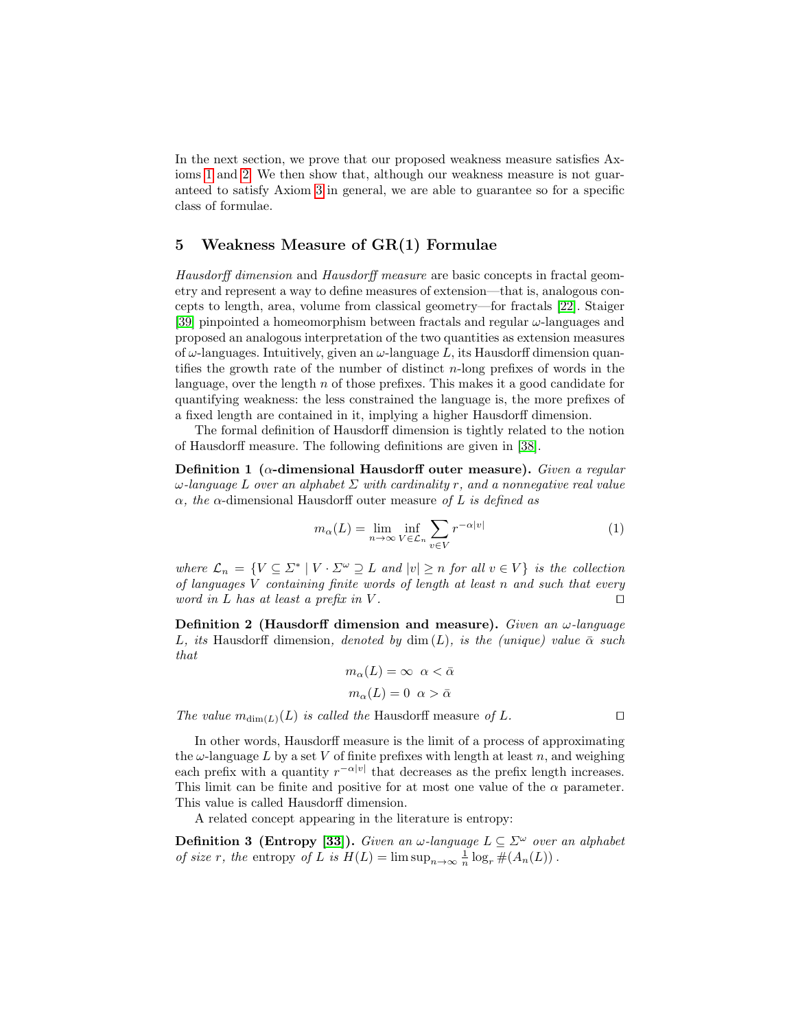In the next section, we prove that our proposed weakness measure satisfies Axioms [1](#page-4-1) and [2.](#page-4-2) We then show that, although our weakness measure is not guaranteed to satisfy Axiom [3](#page-4-3) in general, we are able to guarantee so for a specific class of formulae.

### <span id="page-5-0"></span>5 Weakness Measure of GR(1) Formulae

Hausdorff dimension and Hausdorff measure are basic concepts in fractal geometry and represent a way to define measures of extension—that is, analogous concepts to length, area, volume from classical geometry—for fractals [\[22\]](#page-16-12). Staiger [\[39\]](#page-16-3) pinpointed a homeomorphism between fractals and regular  $\omega$ -languages and proposed an analogous interpretation of the two quantities as extension measures of  $\omega$ -languages. Intuitively, given an  $\omega$ -language L, its Hausdorff dimension quantifies the growth rate of the number of distinct  $n$ -long prefixes of words in the language, over the length  $n$  of those prefixes. This makes it a good candidate for quantifying weakness: the less constrained the language is, the more prefixes of a fixed length are contained in it, implying a higher Hausdorff dimension.

The formal definition of Hausdorff dimension is tightly related to the notion of Hausdorff measure. The following definitions are given in [\[38\]](#page-16-13).

Definition 1 ( $\alpha$ -dimensional Hausdorff outer measure). Given a regular  $\omega$ -language L over an alphabet  $\Sigma$  with cardinality r, and a nonnegative real value  $\alpha$ , the  $\alpha$ -dimensional Hausdorff outer measure of L is defined as

$$
m_{\alpha}(L) = \lim_{n \to \infty} \inf_{V \in \mathcal{L}_n} \sum_{v \in V} r^{-\alpha|v|} \tag{1}
$$

where  $\mathcal{L}_n = \{ V \subseteq \Sigma^* \mid V \cdot \Sigma^{\omega} \supseteq L \text{ and } |v| \geq n \text{ for all } v \in V \}$  is the collection of languages  $V$  containing finite words of length at least  $n$  and such that every word in L has at least a prefix in V.

Definition 2 (Hausdorff dimension and measure). Given an  $\omega$ -language L, its Hausdorff dimension, denoted by  $\dim(L)$ , is the (unique) value  $\bar{\alpha}$  such that

$$
m_{\alpha}(L) = \infty \ \alpha < \bar{\alpha}
$$

$$
m_{\alpha}(L) = 0 \ \alpha > \bar{\alpha}
$$

The value  $m_{\text{dim}(L)}(L)$  is called the Hausdorff measure of L.

<span id="page-5-1"></span>

In other words, Hausdorff measure is the limit of a process of approximating the  $\omega$ -language L by a set V of finite prefixes with length at least n, and weighing each prefix with a quantity  $r^{-\alpha|v|}$  that decreases as the prefix length increases. This limit can be finite and positive for at most one value of the  $\alpha$  parameter. This value is called Hausdorff dimension.

A related concept appearing in the literature is entropy:

**Definition 3 (Entropy [\[33\]](#page-16-14)).** Given an  $\omega$ -language  $L \subseteq \Sigma^{\omega}$  over an alphabet of size r, the entropy of L is  $H(L) = \limsup_{n \to \infty} \frac{1}{n} \log_r \#(A_n(L))$ .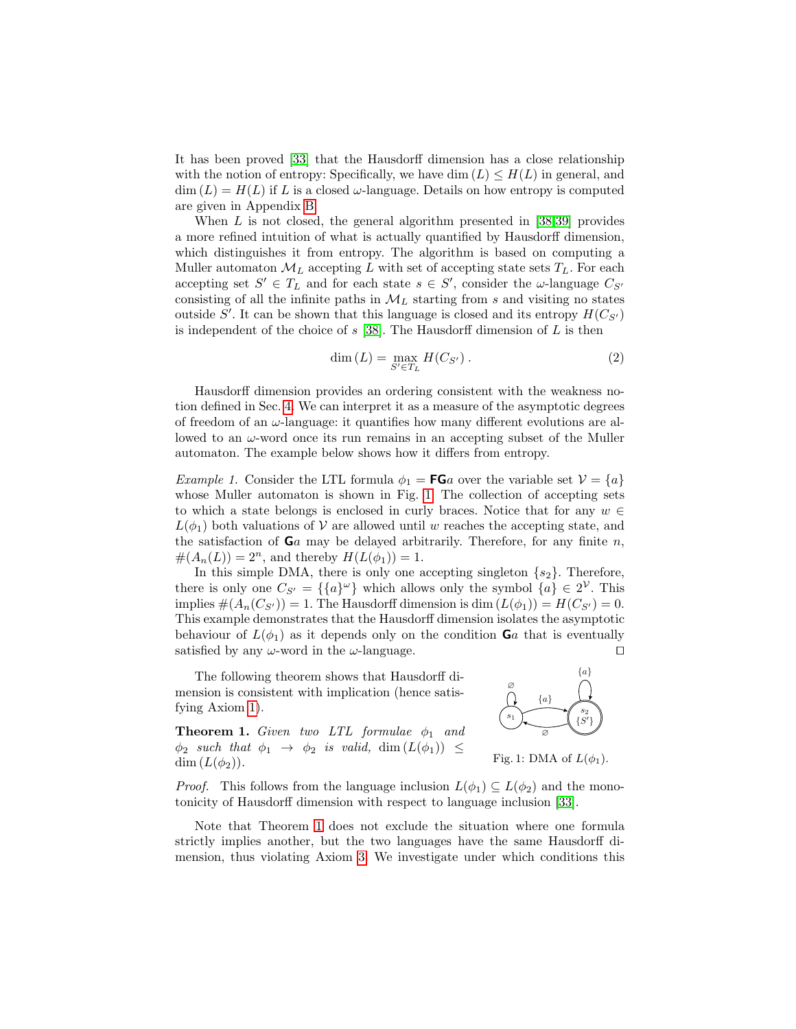It has been proved [\[33\]](#page-16-14) that the Hausdorff dimension has a close relationship with the notion of entropy: Specifically, we have dim  $(L) \leq H(L)$  in general, and  $\dim (L) = H(L)$  if L is a closed  $\omega$ -language. Details on how entropy is computed are given in Appendix [B.](#page-17-1)

When  $L$  is not closed, the general algorithm presented in [\[38,](#page-16-13)[39\]](#page-16-3) provides a more refined intuition of what is actually quantified by Hausdorff dimension, which distinguishes it from entropy. The algorithm is based on computing a Muller automaton  $\mathcal{M}_L$  accepting L with set of accepting state sets  $T_L$ . For each accepting set  $S' \in T_L$  and for each state  $s \in S'$ , consider the  $\omega$ -language  $C_{S'}$ consisting of all the infinite paths in  $\mathcal{M}_L$  starting from s and visiting no states outside S'. It can be shown that this language is closed and its entropy  $H(C_{S})$ is independent of the choice of  $s$  [\[38\]](#page-16-13). The Hausdorff dimension of  $L$  is then

<span id="page-6-2"></span>
$$
\dim(L) = \max_{S' \in T_L} H(C_{S'}) . \tag{2}
$$

Hausdorff dimension provides an ordering consistent with the weakness notion defined in Sec. [4.](#page-4-0) We can interpret it as a measure of the asymptotic degrees of freedom of an  $\omega$ -language: it quantifies how many different evolutions are allowed to an  $\omega$ -word once its run remains in an accepting subset of the Muller automaton. The example below shows how it differs from entropy.

*Example 1.* Consider the LTL formula  $\phi_1 = \mathbf{FG}_a$  over the variable set  $\mathcal{V} = \{a\}$ whose Muller automaton is shown in Fig. [1.](#page-6-0) The collection of accepting sets to which a state belongs is enclosed in curly braces. Notice that for any  $w \in$  $L(\phi_1)$  both valuations of V are allowed until w reaches the accepting state, and the satisfaction of  $Ga$  may be delayed arbitrarily. Therefore, for any finite n,  $#(A_n(L)) = 2^n$ , and thereby  $H(L(\phi_1)) = 1$ .

In this simple DMA, there is only one accepting singleton  $\{s_2\}$ . Therefore, there is only one  $C_{S'} = \{\{a\}^{\omega}\}\$  which allows only the symbol  $\{a\} \in 2^{\mathcal{V}}$ . This implies  $\#(A_n(C_{S'})) = 1$ . The Hausdorff dimension is dim  $(L(\phi_1)) = H(C_{S'}) = 0$ . This example demonstrates that the Hausdorff dimension isolates the asymptotic behaviour of  $L(\phi_1)$  as it depends only on the condition  $\mathbf{G}a$  that is eventually satisfied by any  $\omega$ -word in the  $\omega$ -language.  $\Box$ 

<span id="page-6-1"></span>The following theorem shows that Hausdorff dimension is consistent with implication (hence satisfying Axiom [1\)](#page-4-1).

**Theorem 1.** Given two LTL formulae  $\phi_1$  and  $\phi_2$  such that  $\phi_1 \rightarrow \phi_2$  is valid, dim  $(L(\phi_1)) \leq$ dim  $(L(\phi_2))$ .

<span id="page-6-0"></span>

Fig. 1: DMA of  $L(\phi_1)$ .

*Proof.* This follows from the language inclusion  $L(\phi_1) \subseteq L(\phi_2)$  and the monotonicity of Hausdorff dimension with respect to language inclusion [\[33\]](#page-16-14).

Note that Theorem [1](#page-6-1) does not exclude the situation where one formula strictly implies another, but the two languages have the same Hausdorff dimension, thus violating Axiom [3.](#page-4-3) We investigate under which conditions this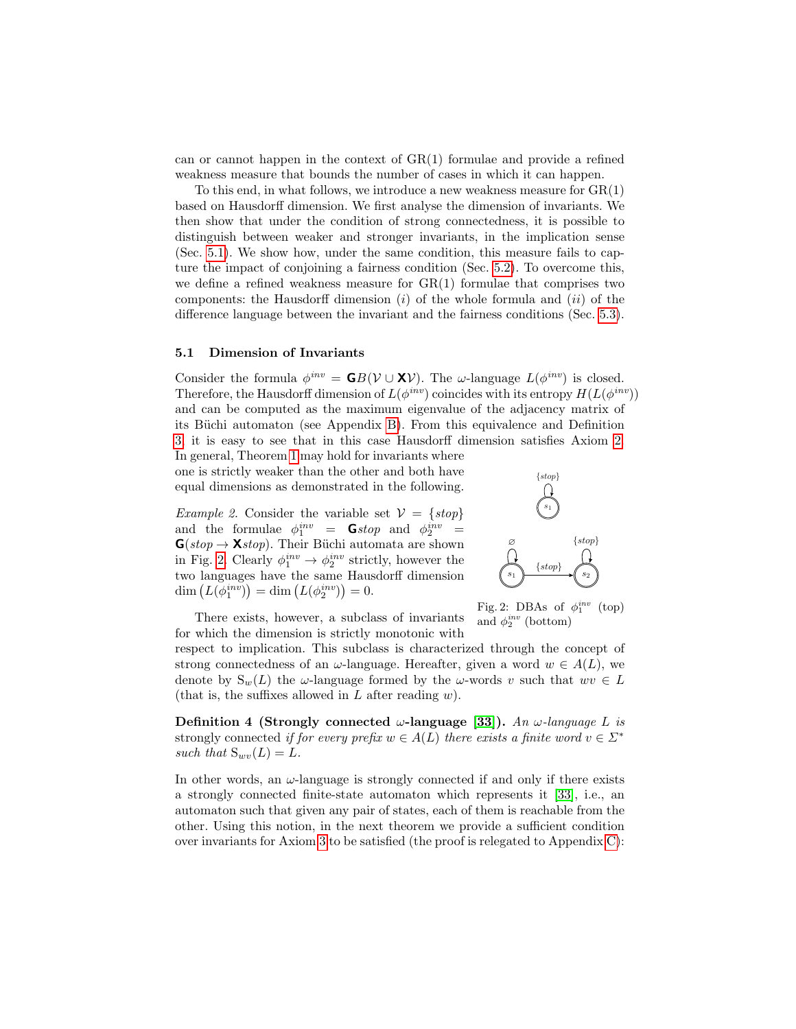can or cannot happen in the context of GR(1) formulae and provide a refined weakness measure that bounds the number of cases in which it can happen.

To this end, in what follows, we introduce a new weakness measure for  $GR(1)$ based on Hausdorff dimension. We first analyse the dimension of invariants. We then show that under the condition of strong connectedness, it is possible to distinguish between weaker and stronger invariants, in the implication sense (Sec. [5.1\)](#page-7-0). We show how, under the same condition, this measure fails to capture the impact of conjoining a fairness condition (Sec. [5.2\)](#page-8-0). To overcome this, we define a refined weakness measure for  $GR(1)$  formulae that comprises two components: the Hausdorff dimension  $(i)$  of the whole formula and  $(ii)$  of the difference language between the invariant and the fairness conditions (Sec. [5.3\)](#page-9-0).

#### <span id="page-7-0"></span>5.1 Dimension of Invariants

Consider the formula  $\phi^{inv} = GB(V \cup XV)$ . The  $\omega$ -language  $L(\phi^{inv})$  is closed. Therefore, the Hausdorff dimension of  $L(\phi^{inv})$  coincides with its entropy  $H(L(\phi^{inv}))$ and can be computed as the maximum eigenvalue of the adjacency matrix of its Büchi automaton (see Appendix [B\)](#page-17-1). From this equivalence and Definition [3,](#page-5-1) it is easy to see that in this case Hausdorff dimension satisfies Axiom [2.](#page-4-2) In general, Theorem [1](#page-6-1) may hold for invariants where

one is strictly weaker than the other and both have equal dimensions as demonstrated in the following.

<span id="page-7-3"></span>*Example 2.* Consider the variable set  $V = \{stop\}$ and the formulae  $\phi_1^{inv} = \mathsf{G}stop$  and  $\phi_2^{inv} =$  $\mathbf{G}(stop \to \mathbf{X}stop)$ . Their Büchi automata are shown in Fig. [2.](#page-7-1) Clearly  $\phi_1^{inv} \to \phi_2^{inv}$  strictly, however the two languages have the same Hausdorff dimension dim  $(L(\phi_1^{inv}) ) = \dim (L(\phi_2^{inv}) ) = 0.$ 

<span id="page-7-1"></span>

Fig. 2: DBAs of  $\phi_1^{inv}$  (top) and  $\phi_2^{inv}$  (bottom) There exists, however, a subclass of invariants for which the dimension is strictly monotonic with

respect to implication. This subclass is characterized through the concept of strong connectedness of an  $\omega$ -language. Hereafter, given a word  $w \in A(L)$ , we denote by  $S_w(L)$  the  $\omega$ -language formed by the  $\omega$ -words v such that  $wv \in L$ (that is, the suffixes allowed in L after reading  $w$ ).

Definition 4 (Strongly connected  $\omega$ -language [\[33\]](#page-16-14)). An  $\omega$ -language L is strongly connected if for every prefix  $w \in A(L)$  there exists a finite word  $v \in \Sigma^*$ such that  $S_{wv}(L) = L$ .

<span id="page-7-2"></span>In other words, an  $\omega$ -language is strongly connected if and only if there exists a strongly connected finite-state automaton which represents it [\[33\]](#page-16-14), i.e., an automaton such that given any pair of states, each of them is reachable from the other. Using this notion, in the next theorem we provide a sufficient condition over invariants for Axiom [3](#page-4-3) to be satisfied (the proof is relegated to Appendix [C\)](#page-18-0):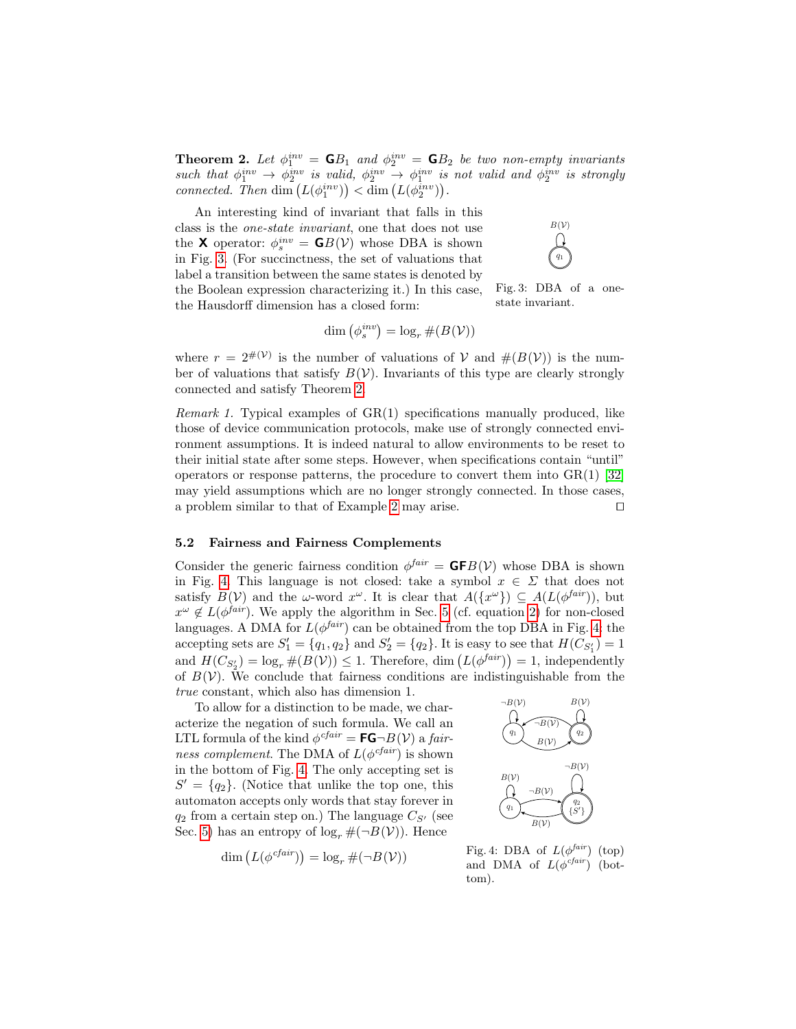**Theorem 2.** Let  $\phi_1^{inv} = \mathbf{G}B_1$  and  $\phi_2^{inv} = \mathbf{G}B_2$  be two non-empty invariants such that  $\phi_1^{inv} \to \phi_2^{inv}$  is valid,  $\phi_2^{inv} \to \phi_1^{inv}$  is not valid and  $\phi_2^{inv}$  is strongly connected. Then dim  $(L(\phi_1^{inv}) ) < dim (L(\phi_2^{inv}))$ .

An interesting kind of invariant that falls in this class is the one-state invariant, one that does not use the **X** operator:  $\phi_s^{inv} = GB(V)$  whose DBA is shown in Fig. [3.](#page-8-1) (For succinctness, the set of valuations that label a transition between the same states is denoted by the Boolean expression characterizing it.) In this case, the Hausdorff dimension has a closed form:

<span id="page-8-1"></span>

Fig. 3: DBA of a onestate invariant.

$$
\dim\left(\phi_s^{inv}\right) = \log_r \#(B(\mathcal{V}))
$$

where  $r = 2^{\#(\mathcal{V})}$  is the number of valuations of  $\mathcal V$  and  $\#(B(\mathcal{V}))$  is the number of valuations that satisfy  $B(Y)$ . Invariants of this type are clearly strongly connected and satisfy Theorem [2.](#page-7-2)

Remark 1. Typical examples of GR(1) specifications manually produced, like those of device communication protocols, make use of strongly connected environment assumptions. It is indeed natural to allow environments to be reset to their initial state after some steps. However, when specifications contain "until" operators or response patterns, the procedure to convert them into  $GR(1)$  [\[32\]](#page-16-15) may yield assumptions which are no longer strongly connected. In those cases, a problem similar to that of Example [2](#page-7-3) may arise.  $\square$ 

#### <span id="page-8-0"></span>5.2 Fairness and Fairness Complements

Consider the generic fairness condition  $\phi^{fair} = \mathbf{G} \mathbf{F} B(\mathcal{V})$  whose DBA is shown in Fig. [4.](#page-8-2) This language is not closed: take a symbol  $x \in \Sigma$  that does not satisfy  $B(V)$  and the  $\omega$ -word  $x^{\omega}$ . It is clear that  $A({x^{\omega}}) \subseteq A(L(\phi^{fair}))$ , but  $x^{\omega} \notin L(\phi^{fair})$ . We apply the algorithm in Sec. [5](#page-5-0) (cf. equation [2\)](#page-6-2) for non-closed languages. A DMA for  $L(\phi^{fair})$  can be obtained from the top DBA in Fig. [4:](#page-8-2) the accepting sets are  $S'_1 = \{q_1, q_2\}$  and  $S'_2 = \{q_2\}$ . It is easy to see that  $H(C_{S'_1}) = 1$ and  $H(C_{S'_2}) = \log_r \#(B(\mathcal{V})) \leq 1$ . Therefore, dim  $(L(\phi^{fair})) = 1$ , independently of  $B(V)$ . We conclude that fairness conditions are indistinguishable from the true constant, which also has dimension 1.

To allow for a distinction to be made, we characterize the negation of such formula. We call an LTL formula of the kind  $\phi^{cfair} = \mathsf{FG} \neg B(\mathcal{V})$  a fairness complement. The DMA of  $L(\phi^{cfair})$  is shown in the bottom of Fig. [4.](#page-8-2) The only accepting set is  $S' = \{q_2\}.$  (Notice that unlike the top one, this automaton accepts only words that stay forever in  $q_2$  from a certain step on.) The language  $C_{S'}$  (see Sec. [5\)](#page-5-0) has an entropy of  $\log_r \#(\neg B(\mathcal{V}))$ . Hence

$$
\dim (L(\phi^{cfair})) = \log_r \#(\neg B(\mathcal{V}))
$$

<span id="page-8-2"></span>



Fig. 4: DBA of  $L(\phi^{fair})$  $({\rm top})$ and DMA of  $L(\phi^{cfair})$  (bottom).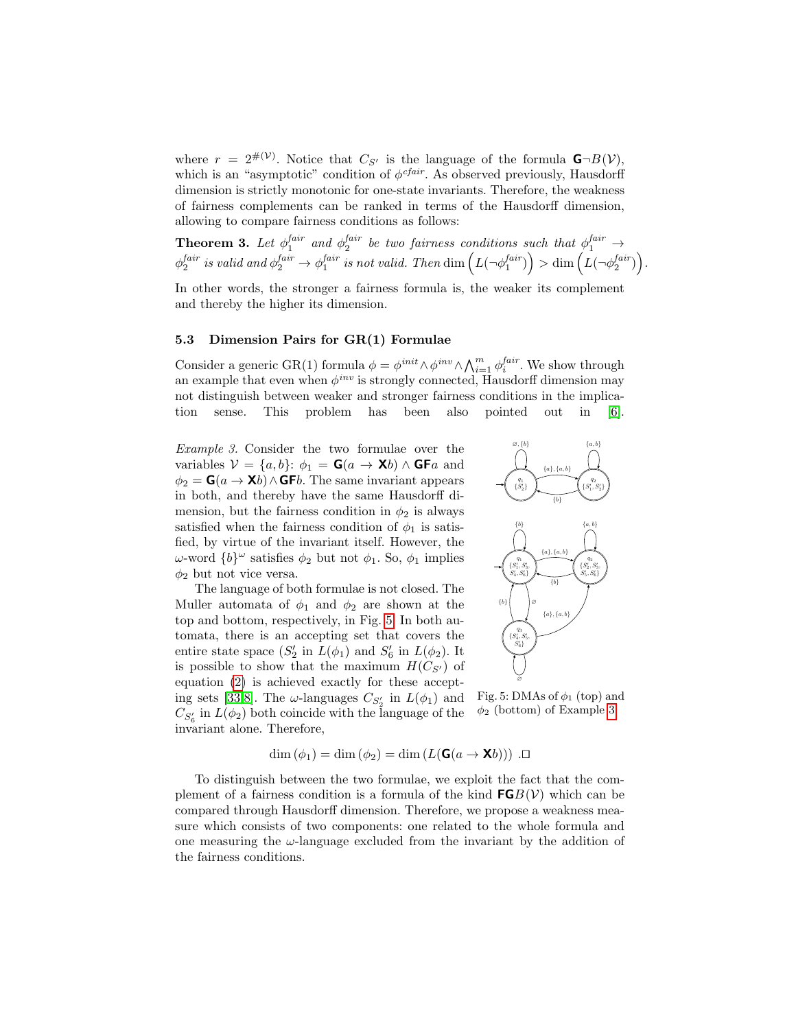where  $r = 2^{\#(\mathcal{V})}$ . Notice that  $C_{S'}$  is the language of the formula  $\mathbf{G} \neg B(\mathcal{V})$ , which is an "asymptotic" condition of  $\phi^{cfair}$ . As observed previously, Hausdorff dimension is strictly monotonic for one-state invariants. Therefore, the weakness of fairness complements can be ranked in terms of the Hausdorff dimension, allowing to compare fairness conditions as follows:

**Theorem 3.** Let  $\phi_1^{fair}$  and  $\phi_2^{fair}$  be two fairness conditions such that  $\phi_1^{fair} \rightarrow$  $\phi_2^{fair} \textit{ is valid and } \phi_2^{fair} \rightarrow \phi_1^{fair} \textit{ is not valid. Then} \dim \left( L(\neg \phi_1^{fair}) \right) > \dim \left( L(\neg \phi_2^{fair}) \right).$ 

In other words, the stronger a fairness formula is, the weaker its complement and thereby the higher its dimension.

#### <span id="page-9-0"></span>5.3 Dimension Pairs for GR(1) Formulae

Consider a generic GR(1) formula  $\phi = \phi^{init} \wedge \phi^{inv} \wedge \bigwedge_{i=1}^{m} \phi_i^{fair}$ . We show through an example that even when  $\phi^{inv}$  is strongly connected, Hausdorff dimension may not distinguish between weaker and stronger fairness conditions in the implication sense. This problem has been also pointed out in [\[6\]](#page-15-9).

<span id="page-9-1"></span>Example 3. Consider the two formulae over the variables  $V = \{a, b\}$ :  $\phi_1 = \mathbf{G}(a \to \mathbf{X}b) \wedge \mathbf{G} \mathbf{F}a$  and  $\phi_2 = \mathbf{G}(a \to \mathbf{X}b) \wedge \mathbf{G}$ Fb. The same invariant appears in both, and thereby have the same Hausdorff dimension, but the fairness condition in  $\phi_2$  is always satisfied when the fairness condition of  $\phi_1$  is satisfied, by virtue of the invariant itself. However, the  $ω$ -word  ${b}^ω$  satisfies  $φ_2$  but not  $φ_1$ . So,  $φ_1$  implies  $\phi_2$  but not vice versa.

The language of both formulae is not closed. The Muller automata of  $\phi_1$  and  $\phi_2$  are shown at the top and bottom, respectively, in Fig. [5.](#page-9-2) In both automata, there is an accepting set that covers the entire state space  $(S'_2 \text{ in } L(\phi_1) \text{ and } S'_6 \text{ in } L(\phi_2)$ . It is possible to show that the maximum  $H(C_{S})$  of equation [\(2\)](#page-6-2) is achieved exactly for these accept-

<span id="page-9-2"></span>

ing sets [\[33,](#page-16-14)[8\]](#page-15-18). The  $\omega$ -languages  $C_{S'_2}$  in  $L(\phi_1)$  and  $C_{S'_6}$  in  $L(\phi_2)$  both coincide with the language of the invariant alone. Therefore,

Fig. 5: DMAs of  $\phi_1$  (top) and  $\phi_2$  (bottom) of Example [3.](#page-9-1)

$$
\dim (\phi_1) = \dim (\phi_2) = \dim (L(G(a \to \mathbf{X}b))) \ \Box
$$

To distinguish between the two formulae, we exploit the fact that the complement of a fairness condition is a formula of the kind  $FGB(V)$  which can be compared through Hausdorff dimension. Therefore, we propose a weakness measure which consists of two components: one related to the whole formula and one measuring the  $\omega$ -language excluded from the invariant by the addition of the fairness conditions.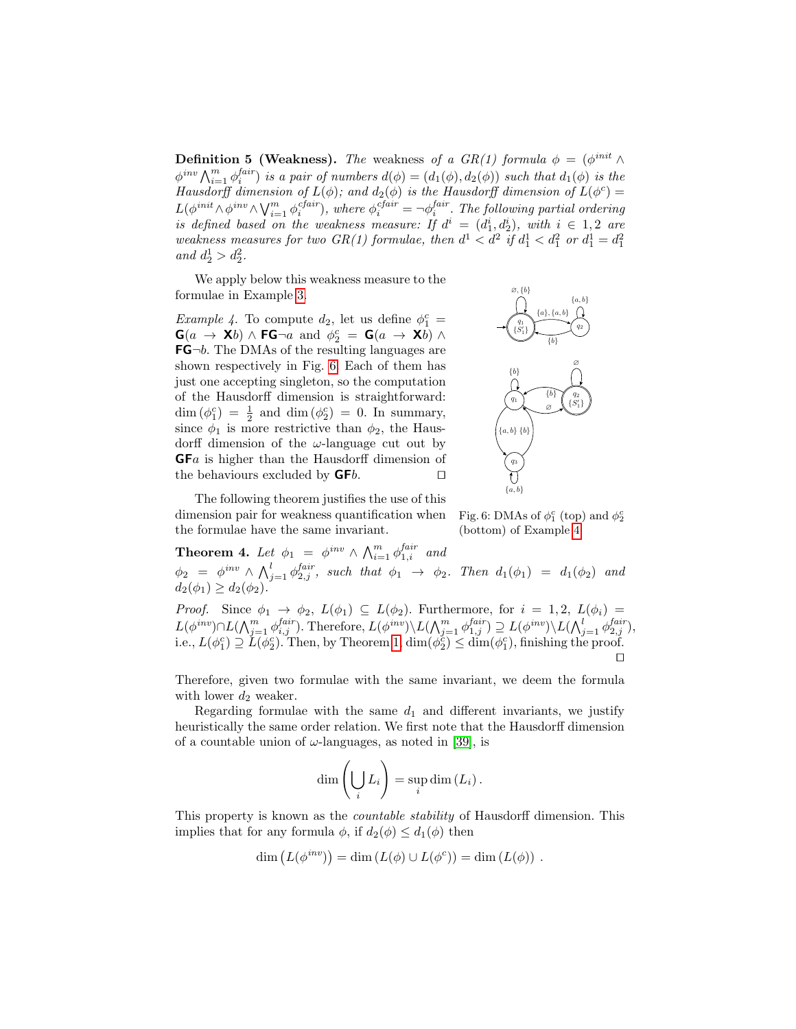**Definition 5 (Weakness).** The weakness of a GR(1) formula  $\phi = (\phi^{init} \wedge \phi^{init})$  $\phi^{inv} \bigwedge_{i=1}^m \phi_i^{fair}$  is a pair of numbers  $d(\phi) = (d_1(\phi), d_2(\phi))$  such that  $d_1(\phi)$  is the Hausdorff dimension of  $L(\phi)$ ; and  $d_2(\phi)$  is the Hausdorff dimension of  $L(\phi^c)$  =  $L(\phi^{init} \wedge \phi^{inv} \wedge \bigvee_{i=1}^{m} \phi_i^{cfair})$ , where  $\phi_i^{cfair} = \neg \phi_i^{fair}$ . The following partial ordering is defined based on the weakness measure: If  $d^i = (d_1^i, d_2^i)$ , with  $i \in 1, 2$  are weakness measures for two  $GR(1)$  formulae, then  $d^1 < d^2$  if  $d_1^1 < d_1^2$  or  $d_1^1 = d_1^2$ and  $d_2^1 > d_2^2$ .

We apply below this weakness measure to the formulae in Example [3.](#page-9-1)

<span id="page-10-0"></span>*Example 4.* To compute  $d_2$ , let us define  $\phi_1^c$  =  $\mathbf{G}(a \rightarrow \mathbf{X}b) \wedge \mathbf{F}\mathbf{G}\neg a$  and  $\phi_2^c = \mathbf{G}(a \rightarrow \mathbf{X}b) \wedge \mathbf{G}(a \rightarrow \mathbf{X}b)$  $FG\neg b$ . The DMAs of the resulting languages are shown respectively in Fig. [6.](#page-10-1) Each of them has just one accepting singleton, so the computation of the Hausdorff dimension is straightforward:  $\dim (\phi_1^c) = \frac{1}{2}$  and  $\dim (\phi_2^c) = 0$ . In summary, since  $\phi_1$  is more restrictive than  $\phi_2$ , the Hausdorff dimension of the  $\omega$ -language cut out by GFa is higher than the Hausdorff dimension of the behaviours excluded by  $GFb$ .  $\square$ 

<span id="page-10-1"></span>

The following theorem justifies the use of this dimension pair for weakness quantification when the formulae have the same invariant.

Fig. 6: DMAs of  $\phi_1^c$  (top) and  $\phi_2^c$ (bottom) of Example [4.](#page-10-0)

**Theorem 4.** Let  $\phi_1 = \phi^{inv} \wedge \bigwedge_{i=1}^m \phi_{1,i}^{fair}$  and  $\phi_2 = \phi^{inv} \wedge \bigwedge_{j=1}^l \phi_{2,j}^{fair}$ , such that  $\phi_1 \rightarrow \phi_2$ . Then  $d_1(\phi_1) = d_1(\phi_2)$  and  $d_2(\phi_1) \geq d_2(\phi_2)$ .

*Proof.* Since  $\phi_1 \to \phi_2$ ,  $L(\phi_1) \subseteq L(\phi_2)$ . Furthermore, for  $i = 1, 2, L(\phi_i) =$  $L(\phi^{inv}) \cap L(\bigwedge_{j=1}^{m} \phi^{fair}_{i,j})$ . Therefore,  $L(\phi^{inv}) \backslash L(\bigwedge_{j=1}^{m} \phi^{fair}_{1,j}) \supseteq L(\phi^{inv}) \backslash L(\bigwedge_{j=1}^{l} \phi^{fair}_{2,j})$ , i.e.,  $L(\phi_1^c) \supseteq L(\phi_2^c)$ . Then, by Theorem [1,](#page-6-1)  $\dim(\phi_2^c) \leq \dim(\phi_1^c)$ , finishing the proof.  $\overline{\phantom{a}}$ 

Therefore, given two formulae with the same invariant, we deem the formula with lower  $d_2$  weaker.

Regarding formulae with the same  $d_1$  and different invariants, we justify heuristically the same order relation. We first note that the Hausdorff dimension of a countable union of  $\omega$ -languages, as noted in [\[39\]](#page-16-3), is

$$
\dim\left(\bigcup_i L_i\right) = \sup_i \dim\left(L_i\right).
$$

This property is known as the countable stability of Hausdorff dimension. This implies that for any formula  $\phi$ , if  $d_2(\phi) \leq d_1(\phi)$  then

$$
\dim (L(\phi^{inv})) = \dim (L(\phi) \cup L(\phi^c)) = \dim (L(\phi)).
$$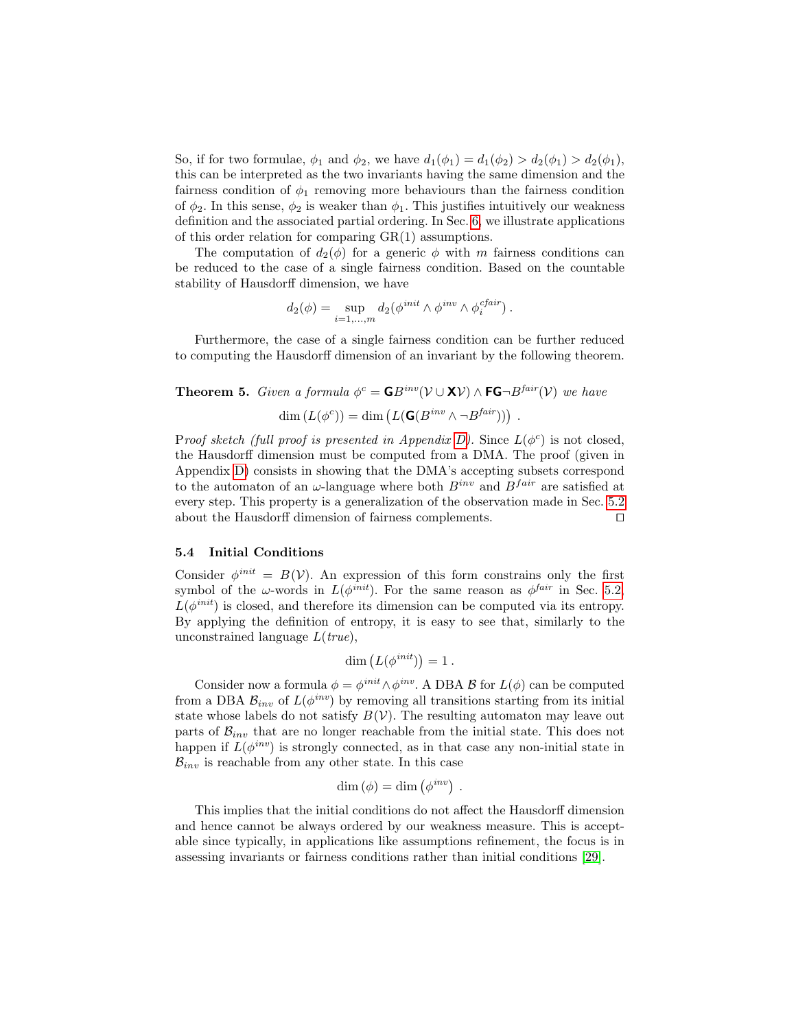So, if for two formulae,  $\phi_1$  and  $\phi_2$ , we have  $d_1(\phi_1) = d_1(\phi_2) > d_2(\phi_1) > d_2(\phi_1)$ , this can be interpreted as the two invariants having the same dimension and the fairness condition of  $\phi_1$  removing more behaviours than the fairness condition of  $\phi_2$ . In this sense,  $\phi_2$  is weaker than  $\phi_1$ . This justifies intuitively our weakness definition and the associated partial ordering. In Sec. [6,](#page-12-0) we illustrate applications of this order relation for comparing GR(1) assumptions.

The computation of  $d_2(\phi)$  for a generic  $\phi$  with m fairness conditions can be reduced to the case of a single fairness condition. Based on the countable stability of Hausdorff dimension, we have

$$
d_2(\phi) = \sup_{i=1,\dots,m} d_2(\phi^{init} \wedge \phi^{inv} \wedge \phi_i^{cfair}).
$$

<span id="page-11-0"></span>Furthermore, the case of a single fairness condition can be further reduced to computing the Hausdorff dimension of an invariant by the following theorem.

**Theorem 5.** Given a formula  $\phi^c = \mathbf{G}B^{inv}(\mathcal{V} \cup \mathbf{X}\mathcal{V}) \wedge \mathbf{FG} \neg B^{fair}(\mathcal{V})$  we have

$$
\dim(L(\phi^c)) = \dim(L(\mathbf{G}(B^{inv} \wedge \neg B^{fair}))) \ .
$$

Proof sketch (full proof is presented in Appendix [D\)](#page-20-1). Since  $L(\phi^c)$  is not closed, the Hausdorff dimension must be computed from a DMA. The proof (given in Appendix [D\)](#page-20-1) consists in showing that the DMA's accepting subsets correspond to the automaton of an  $\omega$ -language where both  $B^{inv}$  and  $B^{fair}$  are satisfied at every step. This property is a generalization of the observation made in Sec. [5.2](#page-8-0) about the Hausdorff dimension of fairness complements.  $\Box$ 

#### 5.4 Initial Conditions

Consider  $\phi^{init} = B(V)$ . An expression of this form constrains only the first symbol of the  $\omega$ -words in  $L(\phi^{init})$ . For the same reason as  $\phi^{fair}$  in Sec. [5.2,](#page-8-0)  $L(\phi^{init})$  is closed, and therefore its dimension can be computed via its entropy. By applying the definition of entropy, it is easy to see that, similarly to the unconstrained language  $L(true)$ ,

$$
\dim\left(L(\phi^{init})\right) = 1.
$$

Consider now a formula  $\phi = \phi^{init} \wedge \phi^{inv}$ . A DBA B for  $L(\phi)$  can be computed from a DBA  $\mathcal{B}_{inv}$  of  $L(\phi^{inv})$  by removing all transitions starting from its initial state whose labels do not satisfy  $B(V)$ . The resulting automaton may leave out parts of  $\mathcal{B}_{inv}$  that are no longer reachable from the initial state. This does not happen if  $L(\phi^{inv})$  is strongly connected, as in that case any non-initial state in  $B_{inv}$  is reachable from any other state. In this case

$$
\dim (\phi) = \dim (\phi^{inv}).
$$

This implies that the initial conditions do not affect the Hausdorff dimension and hence cannot be always ordered by our weakness measure. This is acceptable since typically, in applications like assumptions refinement, the focus is in assessing invariants or fairness conditions rather than initial conditions [\[29\]](#page-16-16).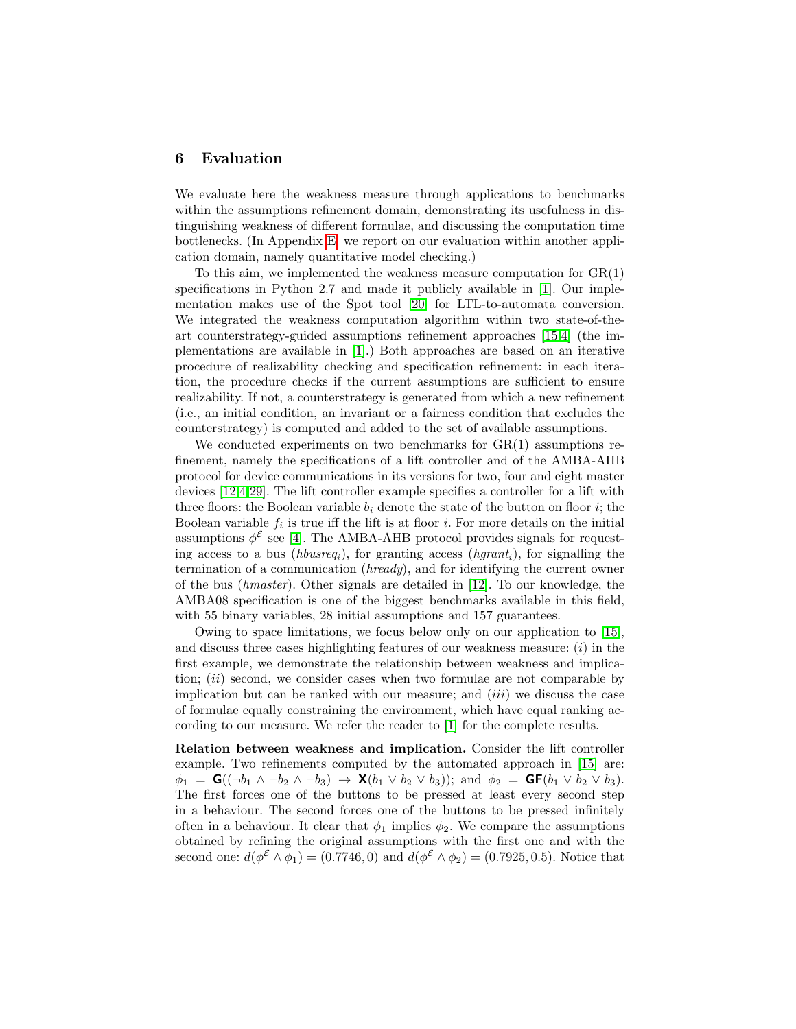#### <span id="page-12-0"></span>6 Evaluation

We evaluate here the weakness measure through applications to benchmarks within the assumptions refinement domain, demonstrating its usefulness in distinguishing weakness of different formulae, and discussing the computation time bottlenecks. (In Appendix [E,](#page-20-0) we report on our evaluation within another application domain, namely quantitative model checking.)

To this aim, we implemented the weakness measure computation for  $GR(1)$ specifications in Python 2.7 and made it publicly available in [\[1\]](#page-15-10). Our implementation makes use of the Spot tool [\[20\]](#page-16-17) for LTL-to-automata conversion. We integrated the weakness computation algorithm within two state-of-theart counterstrategy-guided assumptions refinement approaches [\[15,](#page-15-2)[4\]](#page-15-1) (the implementations are available in [\[1\]](#page-15-10).) Both approaches are based on an iterative procedure of realizability checking and specification refinement: in each iteration, the procedure checks if the current assumptions are sufficient to ensure realizability. If not, a counterstrategy is generated from which a new refinement (i.e., an initial condition, an invariant or a fairness condition that excludes the counterstrategy) is computed and added to the set of available assumptions.

We conducted experiments on two benchmarks for  $GR(1)$  assumptions refinement, namely the specifications of a lift controller and of the AMBA-AHB protocol for device communications in its versions for two, four and eight master devices [\[12,](#page-15-4)[4](#page-15-1)[,29\]](#page-16-16). The lift controller example specifies a controller for a lift with three floors: the Boolean variable  $b_i$  denote the state of the button on floor i; the Boolean variable  $f_i$  is true iff the lift is at floor i. For more details on the initial assumptions  $\phi^{\mathcal{E}}$  see [\[4\]](#page-15-1). The AMBA-AHB protocol provides signals for requesting access to a bus (*hbusreq<sub>i</sub>*), for granting access (*hgrant<sub>i</sub>*), for signalling the termination of a communication (hready), and for identifying the current owner of the bus (hmaster). Other signals are detailed in [\[12\]](#page-15-4). To our knowledge, the AMBA08 specification is one of the biggest benchmarks available in this field, with 55 binary variables, 28 initial assumptions and 157 guarantees.

Owing to space limitations, we focus below only on our application to [\[15\]](#page-15-2), and discuss three cases highlighting features of our weakness measure:  $(i)$  in the first example, we demonstrate the relationship between weakness and implication;  $(ii)$  second, we consider cases when two formulae are not comparable by implication but can be ranked with our measure; and  $(iii)$  we discuss the case of formulae equally constraining the environment, which have equal ranking according to our measure. We refer the reader to [\[1\]](#page-15-10) for the complete results.

Relation between weakness and implication. Consider the lift controller example. Two refinements computed by the automated approach in [\[15\]](#page-15-2) are:  $\phi_1 = \mathbf{G}((\neg b_1 \wedge \neg b_2 \wedge \neg b_3) \rightarrow \mathbf{X}(b_1 \vee b_2 \vee b_3));$  and  $\phi_2 = \mathbf{GF}(b_1 \vee b_2 \vee b_3).$ The first forces one of the buttons to be pressed at least every second step in a behaviour. The second forces one of the buttons to be pressed infinitely often in a behaviour. It clear that  $\phi_1$  implies  $\phi_2$ . We compare the assumptions obtained by refining the original assumptions with the first one and with the second one:  $d(\phi^{\mathcal{E}} \wedge \phi_1) = (0.7746, 0)$  and  $d(\phi^{\mathcal{E}} \wedge \phi_2) = (0.7925, 0.5)$ . Notice that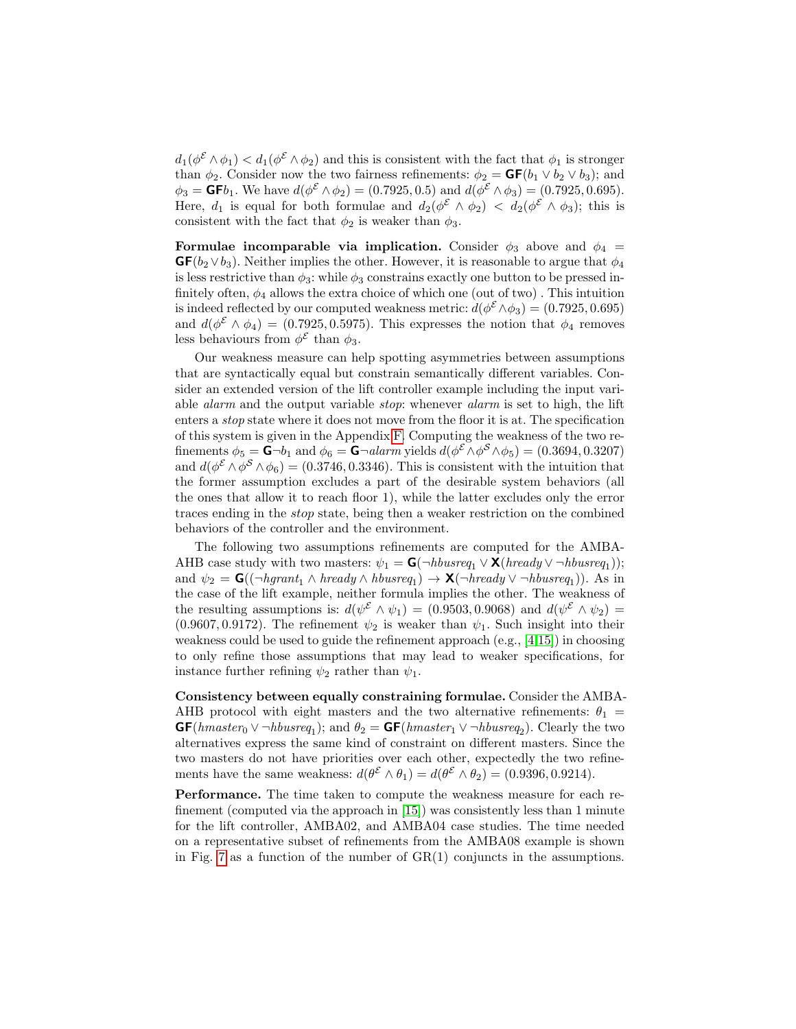$d_1(\phi^{\mathcal{E}} \wedge \phi_1) < d_1(\phi^{\mathcal{E}} \wedge \phi_2)$  and this is consistent with the fact that  $\phi_1$  is stronger than  $\phi_2$ . Consider now the two fairness refinements:  $\phi_2 = \mathsf{GF}(b_1 \vee b_2 \vee b_3)$ ; and  $\phi_3 = \text{GF}b_1$ . We have  $d(\phi^{\mathcal{E}} \wedge \phi_2) = (0.7925, 0.5)$  and  $d(\phi^{\mathcal{E}} \wedge \phi_3) = (0.7925, 0.695)$ . Here,  $d_1$  is equal for both formulae and  $d_2(\phi^{\varepsilon} \wedge \phi_2) < d_2(\phi^{\varepsilon} \wedge \phi_3)$ ; this is consistent with the fact that  $\phi_2$  is weaker than  $\phi_3$ .

Formulae incomparable via implication. Consider  $\phi_3$  above and  $\phi_4$  = **GF**( $b_2 \vee b_3$ ). Neither implies the other. However, it is reasonable to argue that  $\phi_4$ is less restrictive than  $\phi_3$ : while  $\phi_3$  constrains exactly one button to be pressed infinitely often,  $\phi_4$  allows the extra choice of which one (out of two). This intuition is indeed reflected by our computed weakness metric:  $d(\phi^{\varepsilon} \wedge \phi_3) = (0.7925, 0.695)$ and  $d(\phi^{\varepsilon} \wedge \phi_4) = (0.7925, 0.5975)$ . This expresses the notion that  $\phi_4$  removes less behaviours from  $\phi^{\mathcal{E}}$  than  $\phi_3$ .

Our weakness measure can help spotting asymmetries between assumptions that are syntactically equal but constrain semantically different variables. Consider an extended version of the lift controller example including the input variable alarm and the output variable stop: whenever alarm is set to high, the lift enters a stop state where it does not move from the floor it is at. The specification of this system is given in the Appendix [F.](#page-21-0) Computing the weakness of the two refinements  $\phi_5 = \mathbf{G} \neg b_1$  and  $\phi_6 = \mathbf{G} \neg \text{alarm yields } d(\phi^{\mathcal{E}} \land \phi^{\mathcal{S}} \land \phi_5) = (0.3694, 0.3207)$ and  $d(\phi^{\mathcal{E}} \wedge \phi^{\mathcal{S}} \wedge \phi_6) = (0.3746, 0.3346)$ . This is consistent with the intuition that the former assumption excludes a part of the desirable system behaviors (all the ones that allow it to reach floor 1), while the latter excludes only the error traces ending in the stop state, being then a weaker restriction on the combined behaviors of the controller and the environment.

The following two assumptions refinements are computed for the AMBA-AHB case study with two masters:  $\psi_1 = \mathbf{G}(\neg \text{hbusreq}_1 \vee \mathbf{X}(\text{hready} \vee \neg \text{hbusreq}_1));$ and  $\psi_2 = \mathbf{G}((\neg hgrant_1 \wedge \text{hready} \wedge \text{hbusreq}_1) \rightarrow \mathbf{X}(\neg \text{hready} \vee \neg \text{hbusreq}_1)).$  As in the case of the lift example, neither formula implies the other. The weakness of the resulting assumptions is:  $d(\psi^{\mathcal{E}} \wedge \psi_1) = (0.9503, 0.9068)$  and  $d(\psi^{\mathcal{E}} \wedge \psi_2) =$ (0.9607, 0.9172). The refinement  $\psi_2$  is weaker than  $\psi_1$ . Such insight into their weakness could be used to guide the refinement approach  $(e.g., [4,15])$  $(e.g., [4,15])$  $(e.g., [4,15])$  $(e.g., [4,15])$  in choosing to only refine those assumptions that may lead to weaker specifications, for instance further refining  $\psi_2$  rather than  $\psi_1$ .

Consistency between equally constraining formulae. Consider the AMBA-AHB protocol with eight masters and the two alternative refinements:  $\theta_1$  = **GF**( $hmaster_0 \vee \neg hbusreq_1$ ); and  $\theta_2 = \mathbf{GF}(hmaster_1 \vee \neg hbusreq_2)$ . Clearly the two alternatives express the same kind of constraint on different masters. Since the two masters do not have priorities over each other, expectedly the two refinements have the same weakness:  $d(\theta^{\mathcal{E}} \wedge \theta_1) = d(\theta^{\mathcal{E}} \wedge \theta_2) = (0.9396, 0.9214)$ .

Performance. The time taken to compute the weakness measure for each refinement (computed via the approach in [\[15\]](#page-15-2)) was consistently less than 1 minute for the lift controller, AMBA02, and AMBA04 case studies. The time needed on a representative subset of refinements from the AMBA08 example is shown in Fig. [7](#page-14-1) as a function of the number of  $GR(1)$  conjuncts in the assumptions.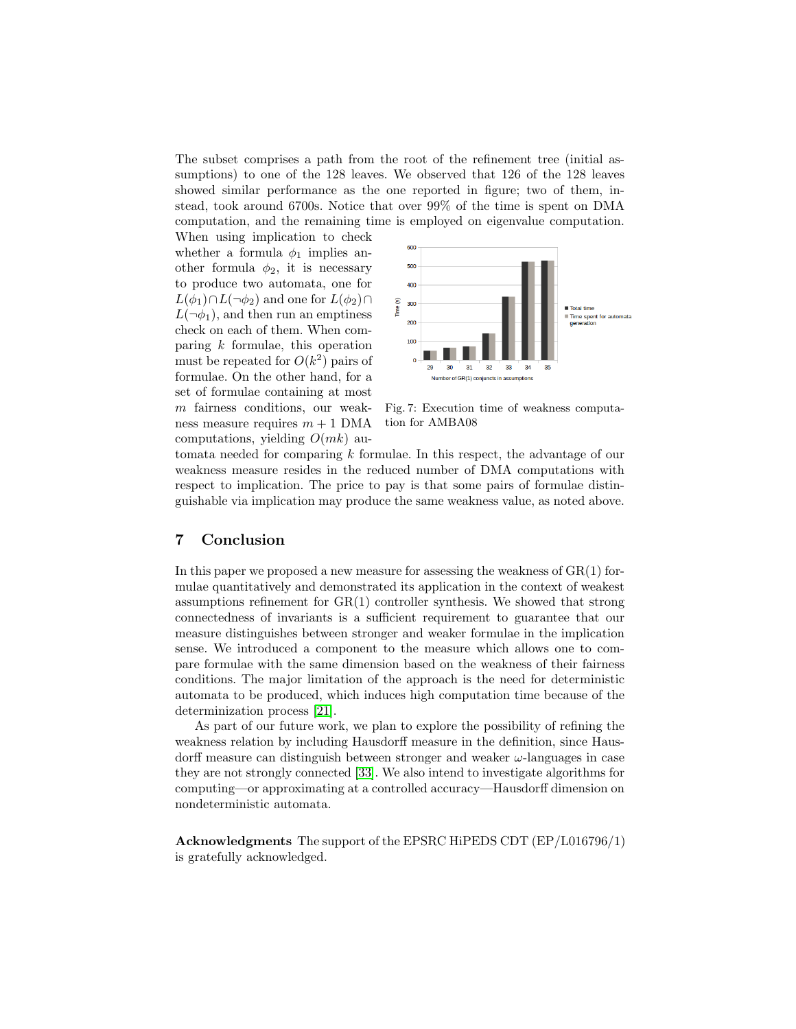The subset comprises a path from the root of the refinement tree (initial assumptions) to one of the 128 leaves. We observed that 126 of the 128 leaves showed similar performance as the one reported in figure; two of them, instead, took around 6700s. Notice that over 99% of the time is spent on DMA computation, and the remaining time is employed on eigenvalue computation.

When using implication to check whether a formula  $\phi_1$  implies another formula  $\phi_2$ , it is necessary to produce two automata, one for  $L(\phi_1) \cap L(\neg \phi_2)$  and one for  $L(\phi_2) \cap$  $L(\neg \phi_1)$ , and then run an emptiness check on each of them. When comparing k formulae, this operation must be repeated for  $O(k^2)$  pairs of formulae. On the other hand, for a set of formulae containing at most m fairness conditions, our weakness measure requires  $m + 1$  DMA computations, yielding  $O(mk)$  au-

<span id="page-14-1"></span>

Fig. 7: Execution time of weakness computation for AMBA08

tomata needed for comparing k formulae. In this respect, the advantage of our weakness measure resides in the reduced number of DMA computations with respect to implication. The price to pay is that some pairs of formulae distinguishable via implication may produce the same weakness value, as noted above.

## <span id="page-14-0"></span>7 Conclusion

In this paper we proposed a new measure for assessing the weakness of  $GR(1)$  formulae quantitatively and demonstrated its application in the context of weakest assumptions refinement for  $GR(1)$  controller synthesis. We showed that strong connectedness of invariants is a sufficient requirement to guarantee that our measure distinguishes between stronger and weaker formulae in the implication sense. We introduced a component to the measure which allows one to compare formulae with the same dimension based on the weakness of their fairness conditions. The major limitation of the approach is the need for deterministic automata to be produced, which induces high computation time because of the determinization process [\[21\]](#page-16-18).

As part of our future work, we plan to explore the possibility of refining the weakness relation by including Hausdorff measure in the definition, since Hausdorff measure can distinguish between stronger and weaker ω-languages in case they are not strongly connected [\[33\]](#page-16-14). We also intend to investigate algorithms for computing—or approximating at a controlled accuracy—Hausdorff dimension on nondeterministic automata.

Acknowledgments The support of the EPSRC HiPEDS CDT (EP/L016796/1) is gratefully acknowledged.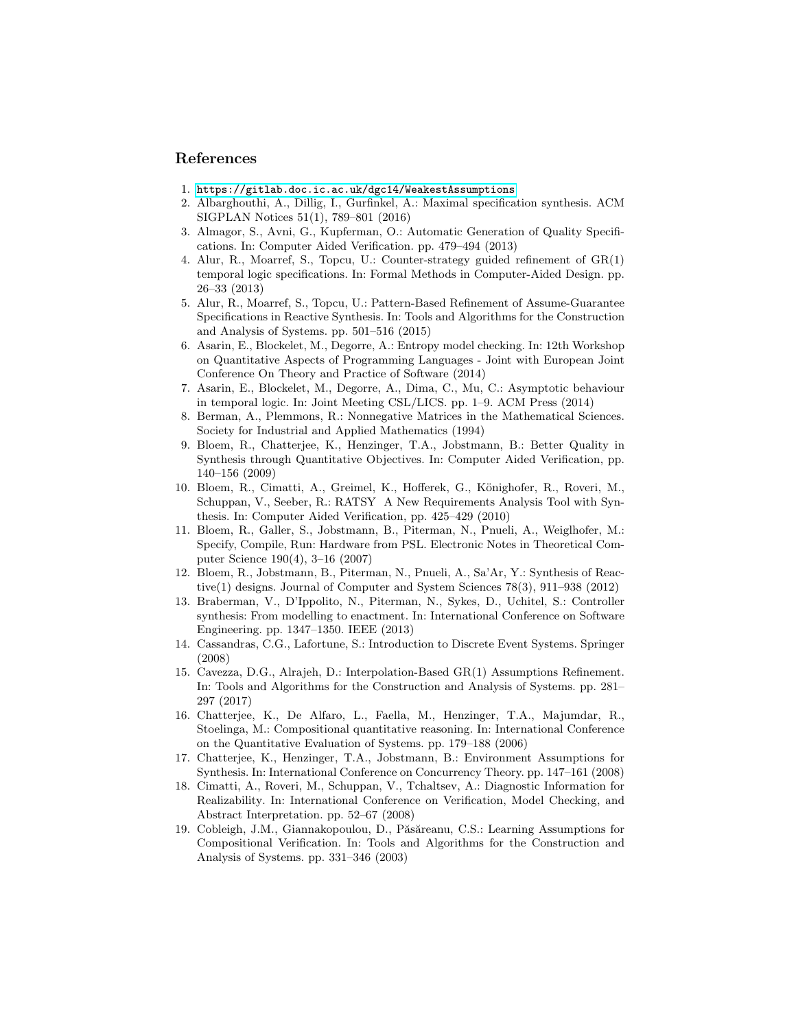#### References

- <span id="page-15-10"></span>1. <https://gitlab.doc.ic.ac.uk/dgc14/WeakestAssumptions>
- <span id="page-15-17"></span>2. Albarghouthi, A., Dillig, I., Gurfinkel, A.: Maximal specification synthesis. ACM SIGPLAN Notices 51(1), 789–801 (2016)
- <span id="page-15-14"></span>3. Almagor, S., Avni, G., Kupferman, O.: Automatic Generation of Quality Specifications. In: Computer Aided Verification. pp. 479–494 (2013)
- <span id="page-15-1"></span>4. Alur, R., Moarref, S., Topcu, U.: Counter-strategy guided refinement of GR(1) temporal logic specifications. In: Formal Methods in Computer-Aided Design. pp. 26–33 (2013)
- <span id="page-15-3"></span>5. Alur, R., Moarref, S., Topcu, U.: Pattern-Based Refinement of Assume-Guarantee Specifications in Reactive Synthesis. In: Tools and Algorithms for the Construction and Analysis of Systems. pp. 501–516 (2015)
- <span id="page-15-9"></span>6. Asarin, E., Blockelet, M., Degorre, A.: Entropy model checking. In: 12th Workshop on Quantitative Aspects of Programming Languages - Joint with European Joint Conference On Theory and Practice of Software (2014)
- <span id="page-15-11"></span>7. Asarin, E., Blockelet, M., Degorre, A., Dima, C., Mu, C.: Asymptotic behaviour in temporal logic. In: Joint Meeting CSL/LICS. pp. 1–9. ACM Press (2014)
- <span id="page-15-18"></span>8. Berman, A., Plemmons, R.: Nonnegative Matrices in the Mathematical Sciences. Society for Industrial and Applied Mathematics (1994)
- <span id="page-15-12"></span>9. Bloem, R., Chatterjee, K., Henzinger, T.A., Jobstmann, B.: Better Quality in Synthesis through Quantitative Objectives. In: Computer Aided Verification, pp. 140–156 (2009)
- <span id="page-15-16"></span>10. Bloem, R., Cimatti, A., Greimel, K., Hofferek, G., Könighofer, R., Roveri, M., Schuppan, V., Seeber, R.: RATSY A New Requirements Analysis Tool with Synthesis. In: Computer Aided Verification, pp. 425–429 (2010)
- <span id="page-15-5"></span>11. Bloem, R., Galler, S., Jobstmann, B., Piterman, N., Pnueli, A., Weiglhofer, M.: Specify, Compile, Run: Hardware from PSL. Electronic Notes in Theoretical Computer Science 190(4), 3–16 (2007)
- <span id="page-15-4"></span>12. Bloem, R., Jobstmann, B., Piterman, N., Pnueli, A., Sa'Ar, Y.: Synthesis of Reactive(1) designs. Journal of Computer and System Sciences 78(3), 911–938 (2012)
- <span id="page-15-6"></span>13. Braberman, V., D'Ippolito, N., Piterman, N., Sykes, D., Uchitel, S.: Controller synthesis: From modelling to enactment. In: International Conference on Software Engineering. pp. 1347–1350. IEEE (2013)
- <span id="page-15-8"></span>14. Cassandras, C.G., Lafortune, S.: Introduction to Discrete Event Systems. Springer (2008)
- <span id="page-15-2"></span>15. Cavezza, D.G., Alrajeh, D.: Interpolation-Based GR(1) Assumptions Refinement. In: Tools and Algorithms for the Construction and Analysis of Systems. pp. 281– 297 (2017)
- <span id="page-15-13"></span>16. Chatterjee, K., De Alfaro, L., Faella, M., Henzinger, T.A., Majumdar, R., Stoelinga, M.: Compositional quantitative reasoning. In: International Conference on the Quantitative Evaluation of Systems. pp. 179–188 (2006)
- <span id="page-15-7"></span>17. Chatterjee, K., Henzinger, T.A., Jobstmann, B.: Environment Assumptions for Synthesis. In: International Conference on Concurrency Theory. pp. 147–161 (2008)
- <span id="page-15-0"></span>18. Cimatti, A., Roveri, M., Schuppan, V., Tchaltsev, A.: Diagnostic Information for Realizability. In: International Conference on Verification, Model Checking, and Abstract Interpretation. pp. 52–67 (2008)
- <span id="page-15-15"></span>19. Cobleigh, J.M., Giannakopoulou, D., Păsăreanu, C.S.: Learning Assumptions for Compositional Verification. In: Tools and Algorithms for the Construction and Analysis of Systems. pp. 331–346 (2003)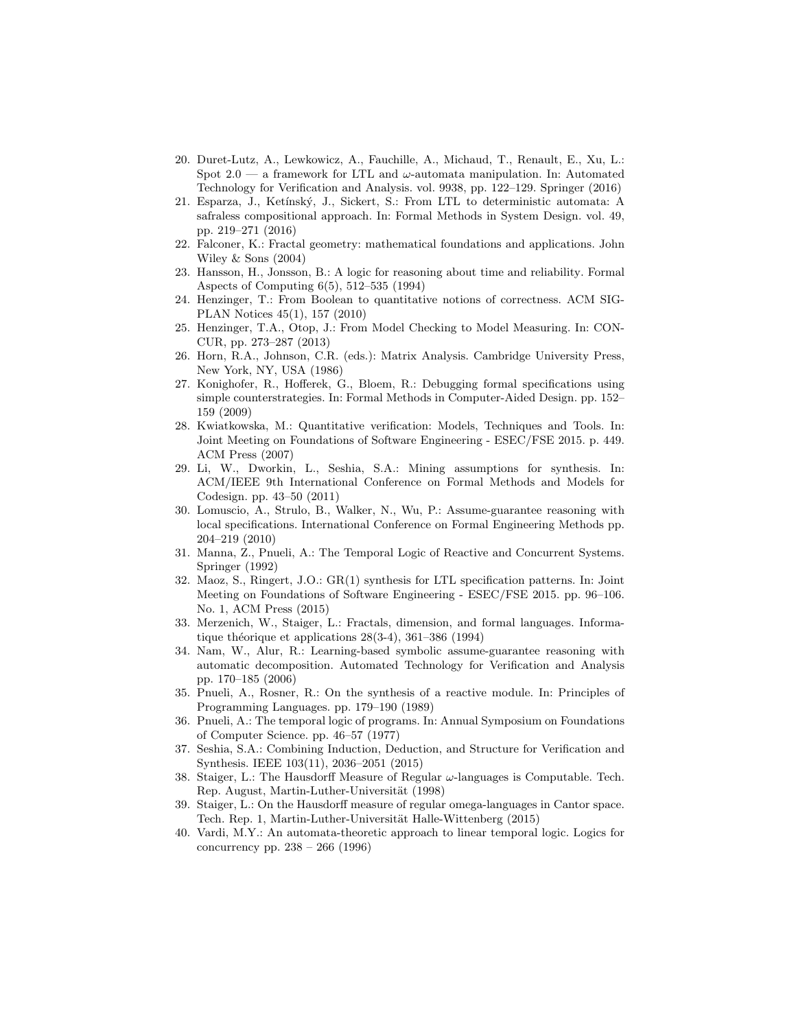- <span id="page-16-17"></span>20. Duret-Lutz, A., Lewkowicz, A., Fauchille, A., Michaud, T., Renault, E., Xu, L.: Spot 2.0 — a framework for LTL and  $\omega$ -automata manipulation. In: Automated Technology for Verification and Analysis. vol. 9938, pp. 122–129. Springer (2016)
- <span id="page-16-18"></span>21. Esparza, J., Ket´ınsk´y, J., Sickert, S.: From LTL to deterministic automata: A safraless compositional approach. In: Formal Methods in System Design. vol. 49, pp. 219–271 (2016)
- <span id="page-16-12"></span>22. Falconer, K.: Fractal geometry: mathematical foundations and applications. John Wiley & Sons (2004)
- <span id="page-16-7"></span>23. Hansson, H., Jonsson, B.: A logic for reasoning about time and reliability. Formal Aspects of Computing 6(5), 512–535 (1994)
- <span id="page-16-5"></span>24. Henzinger, T.: From Boolean to quantitative notions of correctness. ACM SIG-PLAN Notices 45(1), 157 (2010)
- <span id="page-16-4"></span>25. Henzinger, T.A., Otop, J.: From Model Checking to Model Measuring. In: CON-CUR, pp. 273–287 (2013)
- <span id="page-16-20"></span>26. Horn, R.A., Johnson, C.R. (eds.): Matrix Analysis. Cambridge University Press, New York, NY, USA (1986)
- <span id="page-16-1"></span>27. Konighofer, R., Hofferek, G., Bloem, R.: Debugging formal specifications using simple counterstrategies. In: Formal Methods in Computer-Aided Design. pp. 152– 159 (2009)
- <span id="page-16-6"></span>28. Kwiatkowska, M.: Quantitative verification: Models, Techniques and Tools. In: Joint Meeting on Foundations of Software Engineering - ESEC/FSE 2015. p. 449. ACM Press (2007)
- <span id="page-16-16"></span>29. Li, W., Dworkin, L., Seshia, S.A.: Mining assumptions for synthesis. In: ACM/IEEE 9th International Conference on Formal Methods and Models for Codesign. pp. 43–50 (2011)
- <span id="page-16-9"></span>30. Lomuscio, A., Strulo, B., Walker, N., Wu, P.: Assume-guarantee reasoning with local specifications. International Conference on Formal Engineering Methods pp. 204–219 (2010)
- <span id="page-16-19"></span>31. Manna, Z., Pnueli, A.: The Temporal Logic of Reactive and Concurrent Systems. Springer (1992)
- <span id="page-16-15"></span>32. Maoz, S., Ringert, J.O.: GR(1) synthesis for LTL specification patterns. In: Joint Meeting on Foundations of Software Engineering - ESEC/FSE 2015. pp. 96–106. No. 1, ACM Press (2015)
- <span id="page-16-14"></span>33. Merzenich, W., Staiger, L.: Fractals, dimension, and formal languages. Informatique théorique et applications  $28(3-4)$ ,  $361-386$  (1994)
- <span id="page-16-8"></span>34. Nam, W., Alur, R.: Learning-based symbolic assume-guarantee reasoning with automatic decomposition. Automated Technology for Verification and Analysis pp. 170–185 (2006)
- <span id="page-16-0"></span>35. Pnueli, A., Rosner, R.: On the synthesis of a reactive module. In: Principles of Programming Languages. pp. 179–190 (1989)
- <span id="page-16-10"></span>36. Pnueli, A.: The temporal logic of programs. In: Annual Symposium on Foundations of Computer Science. pp. 46–57 (1977)
- <span id="page-16-2"></span>37. Seshia, S.A.: Combining Induction, Deduction, and Structure for Verification and Synthesis. IEEE 103(11), 2036–2051 (2015)
- <span id="page-16-13"></span>38. Staiger, L.: The Hausdorff Measure of Regular  $\omega$ -languages is Computable. Tech. Rep. August, Martin-Luther-Universität (1998)
- <span id="page-16-3"></span>39. Staiger, L.: On the Hausdorff measure of regular omega-languages in Cantor space. Tech. Rep. 1, Martin-Luther-Universität Halle-Wittenberg (2015)
- <span id="page-16-11"></span>40. Vardi, M.Y.: An automata-theoretic approach to linear temporal logic. Logics for concurrency pp. 238 – 266 (1996)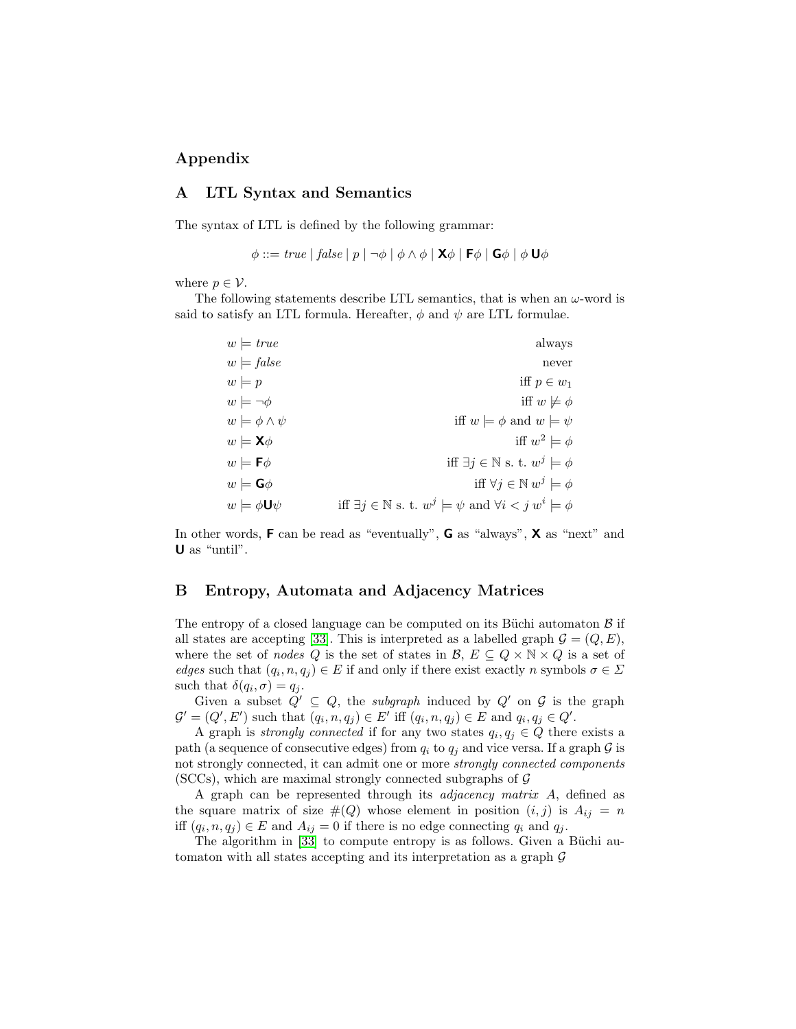# Appendix

### <span id="page-17-0"></span>A LTL Syntax and Semantics

The syntax of LTL is defined by the following grammar:

 $\phi ::= true \mid false \mid p \mid \neg \phi \mid \phi \land \phi \mid \mathbf{X}\phi \mid \mathbf{F}\phi \mid \mathbf{G}\phi \mid \phi \mathbf{U}\phi$ 

where  $p \in \mathcal{V}$ .

The following statements describe LTL semantics, that is when an  $\omega$ -word is said to satisfy an LTL formula. Hereafter,  $\phi$  and  $\psi$  are LTL formulae.

| $w \models true$                 | always                                                                                         |
|----------------------------------|------------------------------------------------------------------------------------------------|
| $w \models false$                | never                                                                                          |
| $w \models p$                    | iff $p \in w_1$                                                                                |
| $w \models \neg \phi$            | iff $w \not\models \phi$                                                                       |
| $w \models \phi \land \psi$      | iff $w \models \phi$ and $w \models \psi$                                                      |
| $w \models \mathsf{X}\phi$       | iff $w^2 \models \phi$                                                                         |
| $w \models \mathsf{F}\phi$       | iff $\exists j \in \mathbb{N}$ s. t. $w^j \models \phi$                                        |
| $w \models \mathsf{G}\phi$       | iff $\forall j \in \mathbb{N}$ $w^j \models \phi$                                              |
| $w \models \phi \mathbf{U} \psi$ | iff $\exists j \in \mathbb{N}$ s. t. $w^j \models \psi$ and $\forall i < j$ $w^i \models \phi$ |

In other words, **F** can be read as "eventually", **G** as "always", **X** as "next" and U as "until".

#### <span id="page-17-1"></span>B Entropy, Automata and Adjacency Matrices

The entropy of a closed language can be computed on its Büchi automaton  $\beta$  if all states are accepting [\[33\]](#page-16-14). This is interpreted as a labelled graph  $\mathcal{G} = (Q, E)$ , where the set of nodes Q is the set of states in  $\mathcal{B}, E \subseteq Q \times \mathbb{N} \times Q$  is a set of edges such that  $(q_i, n, q_j) \in E$  if and only if there exist exactly n symbols  $\sigma \in \Sigma$ such that  $\delta(q_i, \sigma) = q_j$ .

Given a subset  $Q' \subseteq Q$ , the *subgraph* induced by  $Q'$  on  $G$  is the graph  $\mathcal{G}' = (Q', E')$  such that  $(q_i, n, q_j) \in E'$  iff  $(q_i, n, q_j) \in E$  and  $q_i, q_j \in Q'$ .

A graph is *strongly connected* if for any two states  $q_i, q_j \in Q$  there exists a path (a sequence of consecutive edges) from  $q_i$  to  $q_j$  and vice versa. If a graph  $G$  is not strongly connected, it can admit one or more strongly connected components (SCCs), which are maximal strongly connected subgraphs of  $\mathcal G$ 

A graph can be represented through its adjacency matrix A, defined as the square matrix of size  $#(Q)$  whose element in position  $(i, j)$  is  $A_{ij} = n$ iff  $(q_i, n, q_j) \in E$  and  $A_{ij} = 0$  if there is no edge connecting  $q_i$  and  $q_j$ .

The algorithm in  $[33]$  to compute entropy is as follows. Given a Büchi automaton with all states accepting and its interpretation as a graph  $G$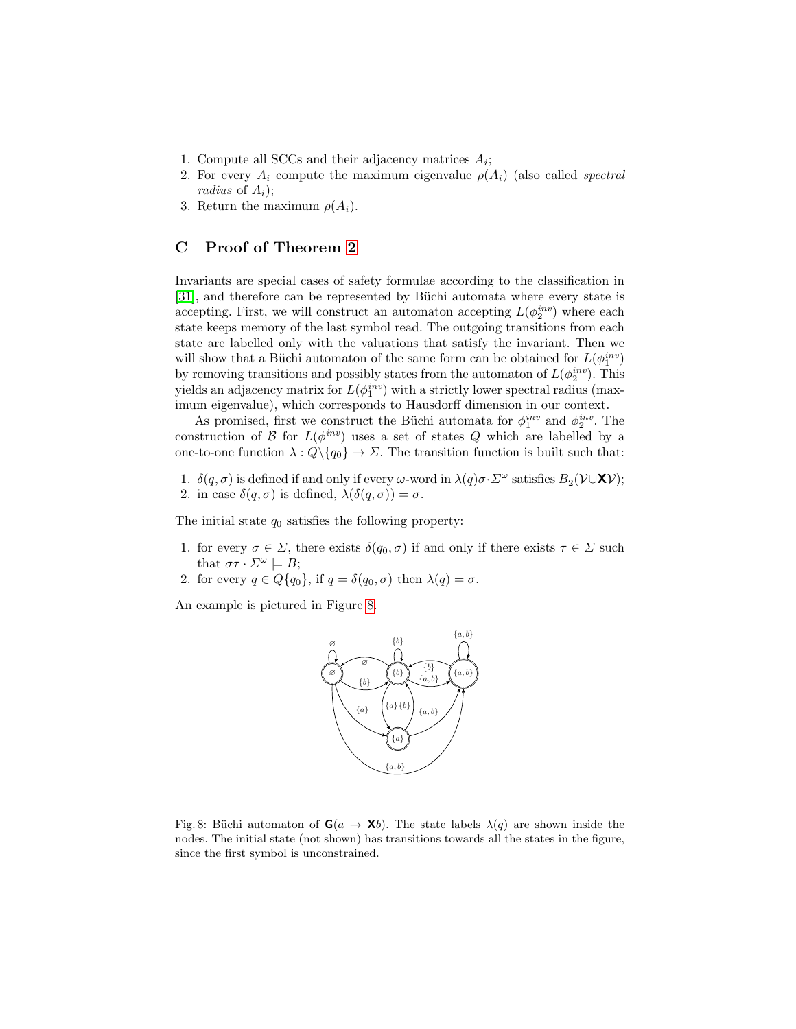- 1. Compute all SCCs and their adjacency matrices  $A_i$ ;
- 2. For every  $A_i$  compute the maximum eigenvalue  $\rho(A_i)$  (also called spectral radius of  $A_i$ ;
- 3. Return the maximum  $\rho(A_i)$ .

#### <span id="page-18-0"></span>C Proof of Theorem [2](#page-7-2)

Invariants are special cases of safety formulae according to the classification in [\[31\]](#page-16-19), and therefore can be represented by Büchi automata where every state is accepting. First, we will construct an automaton accepting  $L(\phi_2^{inv})$  where each state keeps memory of the last symbol read. The outgoing transitions from each state are labelled only with the valuations that satisfy the invariant. Then we will show that a Büchi automaton of the same form can be obtained for  $L(\phi_1^{inv})$ by removing transitions and possibly states from the automaton of  $L(\phi_2^{inv})$ . This yields an adjacency matrix for  $L(\phi_1^{inv})$  with a strictly lower spectral radius (maximum eigenvalue), which corresponds to Hausdorff dimension in our context.

As promised, first we construct the Büchi automata for  $\phi_1^{inv}$  and  $\phi_2^{inv}$ . The construction of  $\mathcal B$  for  $L(\phi^{inv})$  uses a set of states  $Q$  which are labelled by a one-to-one function  $\lambda: Q \backslash \{q_0\} \to \Sigma$ . The transition function is built such that:

- 1.  $\delta(q,\sigma)$  is defined if and only if every  $\omega$ -word in  $\lambda(q)\sigma \cdot \Sigma^{\omega}$  satisfies  $B_2(\mathcal{V}\cup\mathbf{X}\mathcal{V})$ ;
- 2. in case  $\delta(q,\sigma)$  is defined,  $\lambda(\delta(q,\sigma)) = \sigma$ .

The initial state  $q_0$  satisfies the following property:

- 1. for every  $\sigma \in \Sigma$ , there exists  $\delta(q_0, \sigma)$  if and only if there exists  $\tau \in \Sigma$  such that  $\sigma \tau \cdot \Sigma^{\omega} \models B;$
- 2. for every  $q \in Q\{q_0\}$ , if  $q = \delta(q_0, \sigma)$  then  $\lambda(q) = \sigma$ .

<span id="page-18-1"></span>An example is pictured in Figure [8.](#page-18-1)



Fig. 8: Büchi automaton of  $G(a \rightarrow Xb)$ . The state labels  $\lambda(q)$  are shown inside the nodes. The initial state (not shown) has transitions towards all the states in the figure, since the first symbol is unconstrained.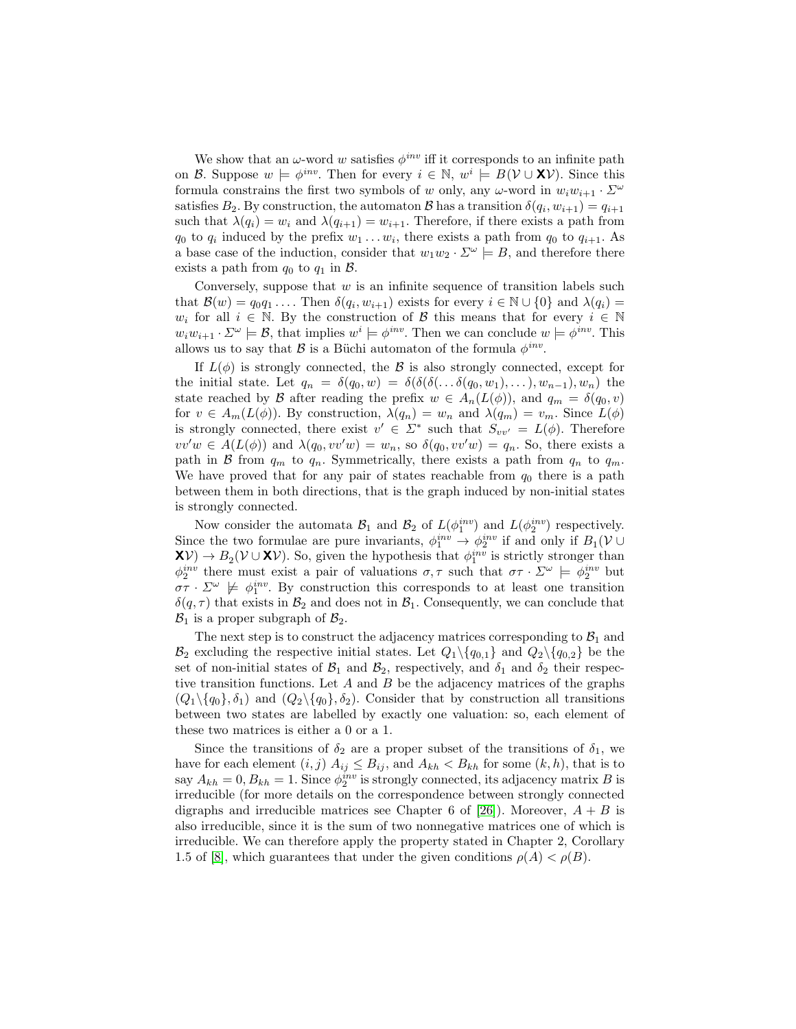We show that an  $\omega$ -word w satisfies  $\phi^{inv}$  iff it corresponds to an infinite path on B. Suppose  $w \models \phi^{inv}$ . Then for every  $i \in \mathbb{N}$ ,  $w^i \models B(\mathcal{V} \cup \mathbf{X}\mathcal{V})$ . Since this formula constrains the first two symbols of w only, any  $\omega$ -word in  $w_iw_{i+1} \cdot \Sigma^\omega$ satisfies  $B_2$ . By construction, the automaton  $\mathcal{B}$  has a transition  $\delta(q_i, w_{i+1}) = q_{i+1}$ such that  $\lambda(q_i) = w_i$  and  $\lambda(q_{i+1}) = w_{i+1}$ . Therefore, if there exists a path from  $q_0$  to  $q_i$  induced by the prefix  $w_1 \dots w_i$ , there exists a path from  $q_0$  to  $q_{i+1}$ . As a base case of the induction, consider that  $w_1w_2 \cdot \Sigma^{\omega} \models B$ , and therefore there exists a path from  $q_0$  to  $q_1$  in  $\beta$ .

Conversely, suppose that  $w$  is an infinite sequence of transition labels such that  $\mathcal{B}(w) = q_0 q_1 \ldots$  Then  $\delta(q_i, w_{i+1})$  exists for every  $i \in \mathbb{N} \cup \{0\}$  and  $\lambda(q_i) =$  $w_i$  for all  $i \in \mathbb{N}$ . By the construction of B this means that for every  $i \in \mathbb{N}$  $w_i w_{i+1} \cdot \Sigma^{\omega} \models \mathcal{B}$ , that implies  $w^i \models \phi^{inv}$ . Then we can conclude  $w \models \phi^{inv}$ . This allows us to say that  $\mathcal B$  is a Büchi automaton of the formula  $\phi^{inv}$ .

If  $L(\phi)$  is strongly connected, the  $\beta$  is also strongly connected, except for the initial state. Let  $q_n = \delta(q_0, w) = \delta(\delta(\delta(\ldots \delta(q_0, w_1), \ldots), w_{n-1}), w_n)$  the state reached by B after reading the prefix  $w \in A_n(L(\phi))$ , and  $q_m = \delta(q_0, v)$ for  $v \in A_m(L(\phi))$ . By construction,  $\lambda(q_n) = w_n$  and  $\lambda(q_m) = v_m$ . Since  $L(\phi)$ is strongly connected, there exist  $v' \in \Sigma^*$  such that  $S_{vv'} = L(\phi)$ . Therefore  $vv'w \in A(L(\phi))$  and  $\lambda(q_0, vv'w) = w_n$ , so  $\delta(q_0, vv'w) = q_n$ . So, there exists a path in B from  $q_m$  to  $q_n$ . Symmetrically, there exists a path from  $q_n$  to  $q_m$ . We have proved that for any pair of states reachable from  $q_0$  there is a path between them in both directions, that is the graph induced by non-initial states is strongly connected.

Now consider the automata  $\mathcal{B}_1$  and  $\mathcal{B}_2$  of  $L(\phi_1^{inv})$  and  $L(\phi_2^{inv})$  respectively. Since the two formulae are pure invariants,  $\phi_1^{inv} \to \phi_2^{inv}$  if and only if  $B_1(V \cup$  $\mathbf{X} \mathcal{V}$   $\rightarrow$   $B_2(\mathcal{V} \cup \mathbf{X} \mathcal{V})$ . So, given the hypothesis that  $\phi_1^{inv}$  is strictly stronger than  $\phi_2^{inv}$  there must exist a pair of valuations  $\sigma, \tau$  such that  $\sigma \tau \cdot \Sigma^{\omega} \models \phi_2^{inv}$  but  $\sigma\tau \cdot \Sigma^{\omega} \not\models \phi_1^{inv}$ . By construction this corresponds to at least one transition  $\delta(q, \tau)$  that exists in  $\mathcal{B}_2$  and does not in  $\mathcal{B}_1$ . Consequently, we can conclude that  $\mathcal{B}_1$  is a proper subgraph of  $\mathcal{B}_2$ .

The next step is to construct the adjacency matrices corresponding to  $\mathcal{B}_1$  and  $\mathcal{B}_2$  excluding the respective initial states. Let  $Q_1 \setminus \{q_{0,1}\}\$  and  $Q_2 \setminus \{q_{0,2}\}\$  be the set of non-initial states of  $\mathcal{B}_1$  and  $\mathcal{B}_2$ , respectively, and  $\delta_1$  and  $\delta_2$  their respective transition functions. Let  $A$  and  $B$  be the adjacency matrices of the graphs  $(Q_1 \setminus \{q_0\}, \delta_1)$  and  $(Q_2 \setminus \{q_0\}, \delta_2)$ . Consider that by construction all transitions between two states are labelled by exactly one valuation: so, each element of these two matrices is either a 0 or a 1.

Since the transitions of  $\delta_2$  are a proper subset of the transitions of  $\delta_1$ , we have for each element  $(i, j)$   $A_{ij} \leq B_{ij}$ , and  $A_{kh} < B_{kh}$  for some  $(k, h)$ , that is to say  $A_{kh} = 0, B_{kh} = 1$ . Since  $\phi_2^{inv}$  is strongly connected, its adjacency matrix B is irreducible (for more details on the correspondence between strongly connected digraphs and irreducible matrices see Chapter 6 of [\[26\]](#page-16-20)). Moreover,  $A + B$  is also irreducible, since it is the sum of two nonnegative matrices one of which is irreducible. We can therefore apply the property stated in Chapter 2, Corollary 1.5 of [\[8\]](#page-15-18), which guarantees that under the given conditions  $\rho(A) < \rho(B)$ .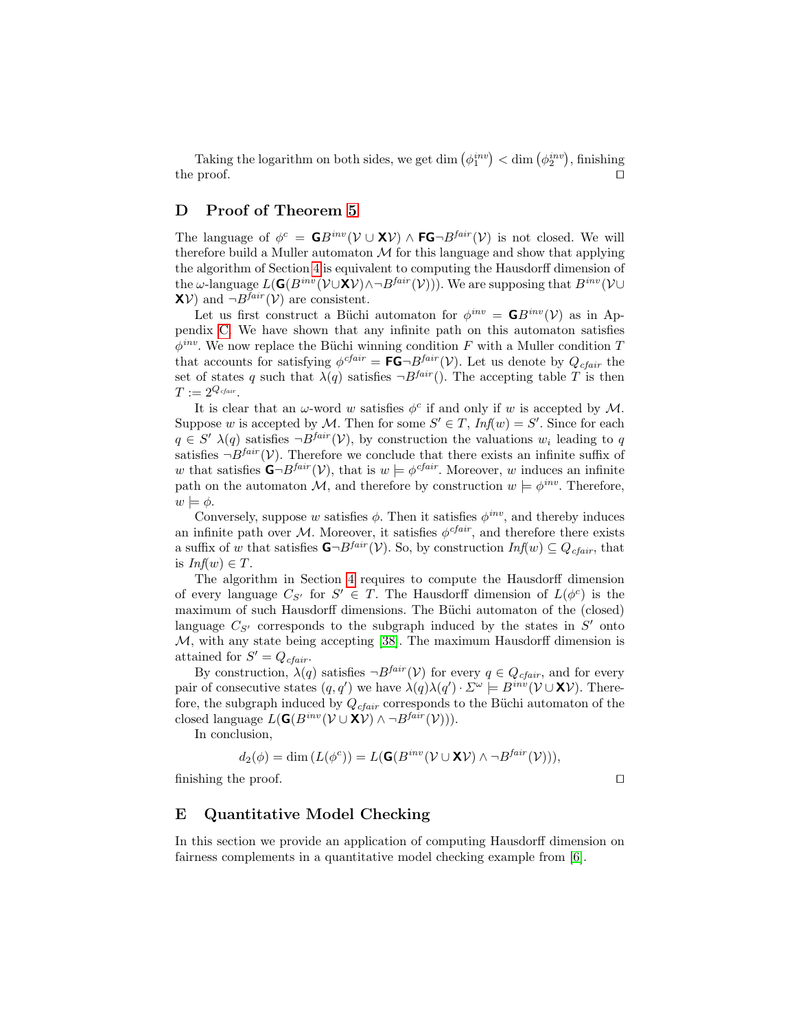Taking the logarithm on both sides, we get dim  $(\phi_1^{inv}) <$  dim  $(\phi_2^{inv})$ , finishing the proof.  $\Box$ 

# <span id="page-20-1"></span>D Proof of Theorem [5](#page-11-0)

The language of  $\phi^c = \mathbf{G}B^{inv}(\mathcal{V} \cup \mathbf{X}\mathcal{V}) \wedge \mathbf{FG} \neg B^{fair}(\mathcal{V})$  is not closed. We will therefore build a Muller automaton  $\mathcal M$  for this language and show that applying the algorithm of Section [4](#page-4-0) is equivalent to computing the Hausdorff dimension of the  $\omega$ -language  $L(G(B^{inv}(V\cup\mathbf{X}V)\wedge\neg B^{fair}(V)))$ . We are supposing that  $B^{inv}(V\cup$  $\mathbf{X}\mathcal{V}$  and  $\neg B^{fair}(\mathcal{V})$  are consistent.

Let us first construct a Büchi automaton for  $\phi^{inv} = GB^{inv}(\mathcal{V})$  as in Appendix [C.](#page-18-0) We have shown that any infinite path on this automaton satisfies  $\phi^{inv}$ . We now replace the Büchi winning condition F with a Muller condition T that accounts for satisfying  $\phi^{cfair} = \mathsf{FG} \neg B^{fair}(\mathcal{V})$ . Let us denote by  $Q_{cfair}$  the set of states q such that  $\lambda(q)$  satisfies  $\neg B^{fair}()$ . The accepting table T is then  $T:=2^{Q_{cfair}}.$ 

It is clear that an  $\omega$ -word w satisfies  $\phi^c$  if and only if w is accepted by M. Suppose w is accepted by M. Then for some  $S' \in T$ ,  $Inf(w) = S'$ . Since for each  $q \in S'$   $\lambda(q)$  satisfies  $\neg B^{fair}(\mathcal{V})$ , by construction the valuations  $w_i$  leading to q satisfies  $\neg B^{fair}(\mathcal{V})$ . Therefore we conclude that there exists an infinite suffix of w that satisfies  $\mathbf{G} \neg B^{fair}(\mathcal{V})$ , that is  $w \models \phi^{cfair}$ . Moreover, w induces an infinite path on the automaton  $M$ , and therefore by construction  $w \models \phi^{inv}$ . Therefore,  $w \models \phi$ .

Conversely, suppose w satisfies  $\phi$ . Then it satisfies  $\phi^{inv}$ , and thereby induces an infinite path over M. Moreover, it satisfies  $\phi^{cfair}$ , and therefore there exists a suffix of w that satisfies  $\mathbf{G} \neg B^{fair}(\mathcal{V})$ . So, by construction  $Inf(w) \subseteq Q_{cfair}$ , that is  $Inf(w) \in T$ .

The algorithm in Section [4](#page-4-0) requires to compute the Hausdorff dimension of every language  $C_{S'}$  for  $S' \in T$ . The Hausdorff dimension of  $L(\phi^c)$  is the maximum of such Hausdorff dimensions. The Büchi automaton of the (closed) language  $C_{S'}$  corresponds to the subgraph induced by the states in  $S'$  onto  $M$ , with any state being accepting [\[38\]](#page-16-13). The maximum Hausdorff dimension is attained for  $S' = Q_{\text{cfair}}$ .

By construction,  $\lambda(q)$  satisfies  $\neg B^{fair}(\mathcal{V})$  for every  $q \in Q_{cfair}$ , and for every pair of consecutive states  $(q, q')$  we have  $\lambda(q)\lambda(q') \cdot \Sigma^{\omega} \models B^{inv}(\mathcal{V} \cup \mathbf{X}\mathcal{V})$ . Therefore, the subgraph induced by  $Q_{cfair}$  corresponds to the Büchi automaton of the closed language  $L(G(B^{inv}(\mathcal{V}\cup\mathbf{X}\mathcal{V})\wedge\neg B^{fair}(\mathcal{V}))).$ 

In conclusion,

$$
d_2(\phi) = \dim(L(\phi^c)) = L(\mathbf{G}(B^{inv}(\mathcal{V} \cup \mathbf{X}\mathcal{V}) \wedge \neg B^{fair}(\mathcal{V}))),
$$

finishing the proof.  $\Box$ 

# <span id="page-20-0"></span>E Quantitative Model Checking

In this section we provide an application of computing Hausdorff dimension on fairness complements in a quantitative model checking example from [\[6\]](#page-15-9).